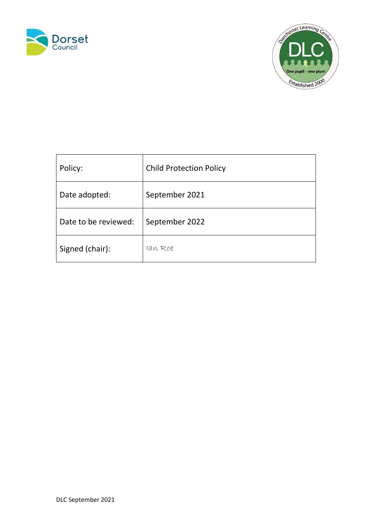



| Policy:              | <b>Child Protection Policy</b> |
|----------------------|--------------------------------|
| Date adopted:        | September 2021                 |
| Date to be reviewed: | September 2022                 |
| Signed (chair):      | lan Roe                        |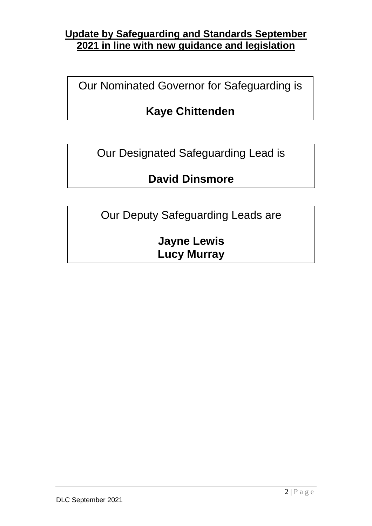# **Update by Safeguarding and Standards September 2021 in line with new guidance and legislation**

Our Nominated Governor for Safeguarding is

# **Kaye Chittenden**

Our Designated Safeguarding Lead is

# **David Dinsmore**

Our Deputy Safeguarding Leads are

**Jayne Lewis Lucy Murray**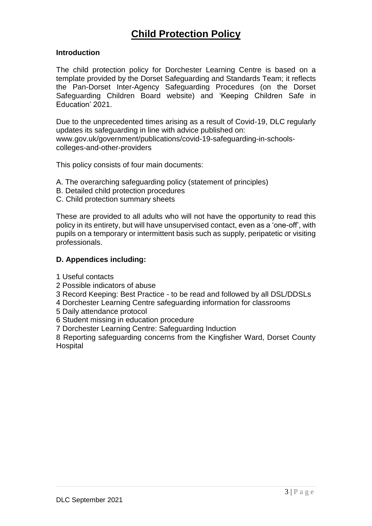### **Introduction**

The child protection policy for Dorchester Learning Centre is based on a template provided by the Dorset Safeguarding and Standards Team; it reflects the Pan-Dorset Inter-Agency Safeguarding Procedures (on the Dorset Safeguarding Children Board website) and 'Keeping Children Safe in Education' 2021.

Due to the unprecedented times arising as a result of Covid-19, DLC regularly updates its safeguarding in line with advice published on: www.gov.uk/government/publications/covid-19-safeguarding-in-schoolscolleges-and-other-providers

This policy consists of four main documents:

- A. The overarching safeguarding policy (statement of principles)
- B. Detailed child protection procedures
- C. Child protection summary sheets

These are provided to all adults who will not have the opportunity to read this policy in its entirety, but will have unsupervised contact, even as a 'one-off', with pupils on a temporary or intermittent basis such as supply, peripatetic or visiting professionals.

### **D. Appendices including:**

- 1 Useful contacts
- 2 Possible indicators of abuse
- 3 Record Keeping: Best Practice to be read and followed by all DSL/DDSLs
- 4 Dorchester Learning Centre safeguarding information for classrooms
- 5 Daily attendance protocol
- 6 Student missing in education procedure
- 7 Dorchester Learning Centre: Safeguarding Induction

8 Reporting safeguarding concerns from the Kingfisher Ward, Dorset County Hospital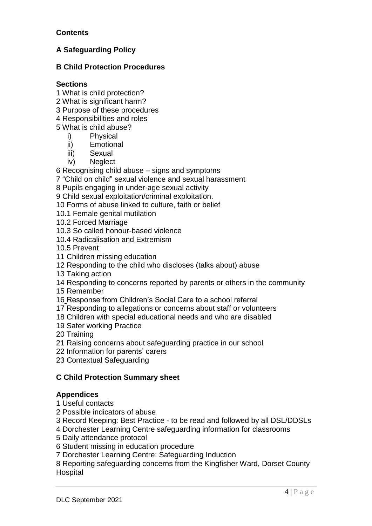### **Contents**

## **A Safeguarding Policy**

### **B Child Protection Procedures**

### **Sections**

- 1 What is child protection?
- 2 What is significant harm?
- 3 Purpose of these procedures
- 4 Responsibilities and roles
- 5 What is child abuse?
	- i) Physical
	- ii) Emotional
	- iii) Sexual
	- iv) Neglect

6 Recognising child abuse – signs and symptoms

- 7 "Child on child" sexual violence and sexual harassment
- 8 Pupils engaging in under-age sexual activity

9 Child sexual exploitation/criminal exploitation.

- 10 Forms of abuse linked to culture, faith or belief
- 10.1 Female genital mutilation
- 10.2 Forced Marriage
- 10.3 So called honour-based violence
- 10.4 Radicalisation and Extremism
- 10.5 Prevent
- 11 Children missing education
- 12 Responding to the child who discloses (talks about) abuse
- 13 Taking action
- 14 Responding to concerns reported by parents or others in the community
- 15 Remember
- 16 Response from Children's Social Care to a school referral
- 17 Responding to allegations or concerns about staff or volunteers
- 18 Children with special educational needs and who are disabled
- 19 Safer working Practice
- 20 Training
- 21 Raising concerns about safeguarding practice in our school
- 22 Information for parents' carers
- 23 Contextual Safeguarding

### **C Child Protection Summary sheet**

### **Appendices**

- 1 Useful contacts
- 2 Possible indicators of abuse
- 3 Record Keeping: Best Practice to be read and followed by all DSL/DDSLs
- 4 Dorchester Learning Centre safeguarding information for classrooms
- 5 Daily attendance protocol
- 6 Student missing in education procedure
- 7 Dorchester Learning Centre: Safeguarding Induction

8 Reporting safeguarding concerns from the Kingfisher Ward, Dorset County Hospital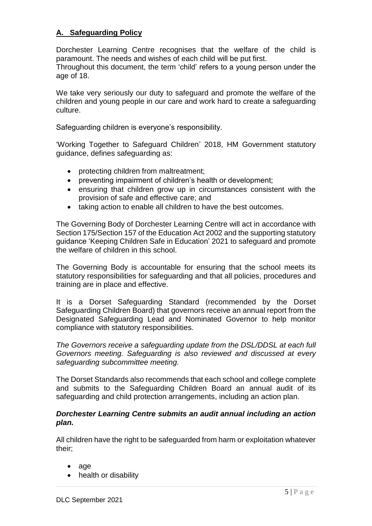## **A. Safeguarding Policy**

Dorchester Learning Centre recognises that the welfare of the child is paramount. The needs and wishes of each child will be put first.

Throughout this document, the term 'child' refers to a young person under the age of 18.

We take very seriously our duty to safeguard and promote the welfare of the children and young people in our care and work hard to create a safeguarding culture.

Safeguarding children is everyone's responsibility.

'Working Together to Safeguard Children' 2018, HM Government statutory guidance, defines safeguarding as:

- protecting children from maltreatment;
- preventing impairment of children's health or development;
- ensuring that children grow up in circumstances consistent with the provision of safe and effective care; and
- taking action to enable all children to have the best outcomes.

The Governing Body of Dorchester Learning Centre will act in accordance with Section 175/Section 157 of the Education Act 2002 and the supporting statutory guidance 'Keeping Children Safe in Education' 2021 to safeguard and promote the welfare of children in this school.

The Governing Body is accountable for ensuring that the school meets its statutory responsibilities for safeguarding and that all policies, procedures and training are in place and effective.

It is a Dorset Safeguarding Standard (recommended by the Dorset Safeguarding Children Board) that governors receive an annual report from the Designated Safeguarding Lead and Nominated Governor to help monitor compliance with statutory responsibilities.

*The Governors receive a safeguarding update from the DSL/DDSL at each full Governors meeting. Safeguarding is also reviewed and discussed at every safeguarding subcommittee meeting.*

The Dorset Standards also recommends that each school and college complete and submits to the Safeguarding Children Board an annual audit of its safeguarding and child protection arrangements, including an action plan.

### *Dorchester Learning Centre submits an audit annual including an action plan.*

All children have the right to be safeguarded from harm or exploitation whatever their;

- age
- health or disability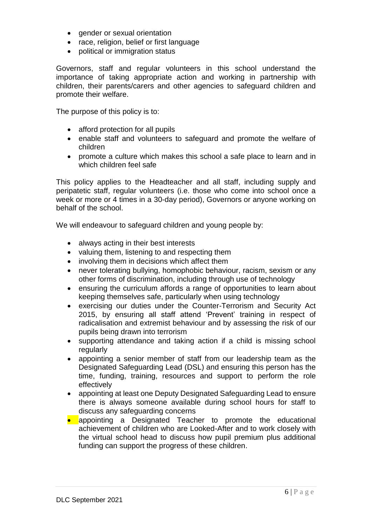- gender or sexual orientation
- race, religion, belief or first language
- political or immigration status

Governors, staff and regular volunteers in this school understand the importance of taking appropriate action and working in partnership with children, their parents/carers and other agencies to safeguard children and promote their welfare.

The purpose of this policy is to:

- afford protection for all pupils
- enable staff and volunteers to safeguard and promote the welfare of children
- promote a culture which makes this school a safe place to learn and in which children feel safe

This policy applies to the Headteacher and all staff, including supply and peripatetic staff, regular volunteers (i.e. those who come into school once a week or more or 4 times in a 30-day period), Governors or anyone working on behalf of the school.

We will endeavour to safeguard children and young people by:

- always acting in their best interests
- valuing them, listening to and respecting them
- involving them in decisions which affect them
- never tolerating bullying, homophobic behaviour, racism, sexism or any other forms of discrimination, including through use of technology
- ensuring the curriculum affords a range of opportunities to learn about keeping themselves safe, particularly when using technology
- exercising our duties under the Counter-Terrorism and Security Act 2015, by ensuring all staff attend 'Prevent' training in respect of radicalisation and extremist behaviour and by assessing the risk of our pupils being drawn into terrorism
- supporting attendance and taking action if a child is missing school regularly
- appointing a senior member of staff from our leadership team as the Designated Safeguarding Lead (DSL) and ensuring this person has the time, funding, training, resources and support to perform the role effectively
- appointing at least one Deputy Designated Safeguarding Lead to ensure there is always someone available during school hours for staff to discuss any safeguarding concerns
- appointing a Designated Teacher to promote the educational achievement of children who are Looked-After and to work closely with the virtual school head to discuss how pupil premium plus additional funding can support the progress of these children.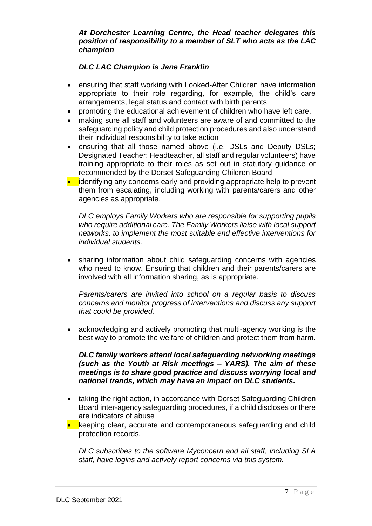### *At Dorchester Learning Centre, the Head teacher delegates this position of responsibility to a member of SLT who acts as the LAC champion*

### *DLC LAC Champion is Jane Franklin*

- ensuring that staff working with Looked-After Children have information appropriate to their role regarding, for example, the child's care arrangements, legal status and contact with birth parents
- promoting the educational achievement of children who have left care.
- making sure all staff and volunteers are aware of and committed to the safeguarding policy and child protection procedures and also understand their individual responsibility to take action
- ensuring that all those named above (i.e. DSLs and Deputy DSLs; Designated Teacher; Headteacher, all staff and regular volunteers) have training appropriate to their roles as set out in statutory guidance or recommended by the Dorset Safeguarding Children Board
- identifying any concerns early and providing appropriate help to prevent them from escalating, including working with parents/carers and other agencies as appropriate.

*DLC employs Family Workers who are responsible for supporting pupils who require additional care. The Family Workers liaise with local support networks, to implement the most suitable end effective interventions for individual students.*

• sharing information about child safeguarding concerns with agencies who need to know. Ensuring that children and their parents/carers are involved with all information sharing, as is appropriate.

*Parents/carers are invited into school on a regular basis to discuss concerns and monitor progress of interventions and discuss any support that could be provided.*

• acknowledging and actively promoting that multi-agency working is the best way to promote the welfare of children and protect them from harm.

*DLC family workers attend local safeguarding networking meetings (such as the Youth at Risk meetings – YARS). The aim of these meetings is to share good practice and discuss worrying local and national trends, which may have an impact on DLC students.* 

- taking the right action, in accordance with Dorset Safeguarding Children Board inter-agency safeguarding procedures, if a child discloses or there are indicators of abuse
- keeping clear, accurate and contemporaneous safeguarding and child protection records.

*DLC subscribes to the software Myconcern and all staff, including SLA staff, have logins and actively report concerns via this system.*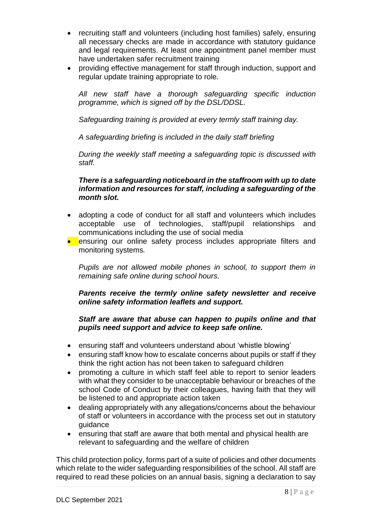- recruiting staff and volunteers (including host families) safely, ensuring all necessary checks are made in accordance with statutory guidance and legal requirements. At least one appointment panel member must have undertaken safer recruitment training
- providing effective management for staff through induction, support and regular update training appropriate to role*.*

*All new staff have a thorough safeguarding specific induction programme, which is signed off by the DSL/DDSL.*

*Safeguarding training is provided at every termly staff training day.*

*A safeguarding briefing is included in the daily staff briefing*

*During the weekly staff meeting a safeguarding topic is discussed with staff.* 

### *There is a safeguarding noticeboard in the staffroom with up to date information and resources for staff, including a safeguarding of the month slot.*

- adopting a code of conduct for all staff and volunteers which includes acceptable use of technologies, staff/pupil relationships and communications including the use of social media
- ensuring our online safety process includes appropriate filters and monitoring systems*.*

*Pupils are not allowed mobile phones in school, to support them in remaining safe online during school hours.*

*Parents receive the termly online safety newsletter and receive online safety information leaflets and support.*

### *Staff are aware that abuse can happen to pupils online and that pupils need support and advice to keep safe online.*

- ensuring staff and volunteers understand about 'whistle blowing'
- ensuring staff know how to escalate concerns about pupils or staff if they think the right action has not been taken to safeguard children
- promoting a culture in which staff feel able to report to senior leaders with what they consider to be unacceptable behaviour or breaches of the school Code of Conduct by their colleagues, having faith that they will be listened to and appropriate action taken
- dealing appropriately with any allegations/concerns about the behaviour of staff or volunteers in accordance with the process set out in statutory guidance
- ensuring that staff are aware that both mental and physical health are relevant to safeguarding and the welfare of children

This child protection policy, forms part of a suite of policies and other documents which relate to the wider safeguarding responsibilities of the school. All staff are required to read these policies on an annual basis, signing a declaration to say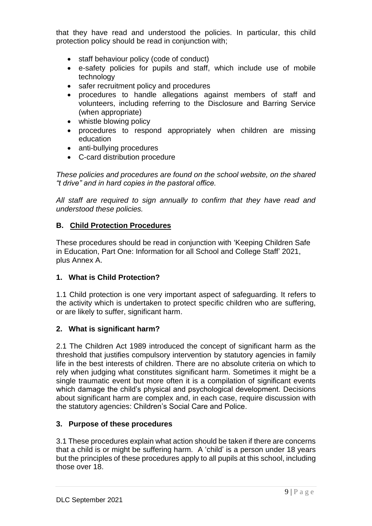that they have read and understood the policies. In particular, this child protection policy should be read in conjunction with;

- staff behaviour policy (code of conduct)
- e-safety policies for pupils and staff, which include use of mobile technology
- safer recruitment policy and procedures
- procedures to handle allegations against members of staff and volunteers, including referring to the Disclosure and Barring Service (when appropriate)
- whistle blowing policy
- procedures to respond appropriately when children are missing education
- anti-bullying procedures
- C-card distribution procedure

*These policies and procedures are found on the school website, on the shared "t drive" and in hard copies in the pastoral office.*

*All staff are required to sign annually to confirm that they have read and understood these policies.*

## **B. Child Protection Procedures**

These procedures should be read in conjunction with 'Keeping Children Safe in Education, Part One: Information for all School and College Staff' 2021, plus Annex A.

## **1. What is Child Protection?**

1.1 Child protection is one very important aspect of safeguarding. It refers to the activity which is undertaken to protect specific children who are suffering, or are likely to suffer, significant harm.

### **2. What is significant harm?**

2.1 The Children Act 1989 introduced the concept of significant harm as the threshold that justifies compulsory intervention by statutory agencies in family life in the best interests of children. There are no absolute criteria on which to rely when judging what constitutes significant harm. Sometimes it might be a single traumatic event but more often it is a compilation of significant events which damage the child's physical and psychological development. Decisions about significant harm are complex and, in each case, require discussion with the statutory agencies: Children's Social Care and Police.

### **3. Purpose of these procedures**

3.1 These procedures explain what action should be taken if there are concerns that a child is or might be suffering harm. A 'child' is a person under 18 years but the principles of these procedures apply to all pupils at this school, including those over 18.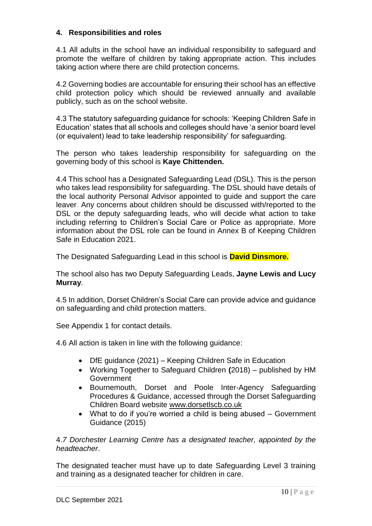### **4. Responsibilities and roles**

4.1 All adults in the school have an individual responsibility to safeguard and promote the welfare of children by taking appropriate action. This includes taking action where there are child protection concerns.

4.2 Governing bodies are accountable for ensuring their school has an effective child protection policy which should be reviewed annually and available publicly, such as on the school website.

4.3 The statutory safeguarding guidance for schools: 'Keeping Children Safe in Education' states that all schools and colleges should have 'a senior board level (or equivalent) lead to take leadership responsibility' for safeguarding.

The person who takes leadership responsibility for safeguarding on the governing body of this school is **Kaye Chittenden.**

4.4 This school has a Designated Safeguarding Lead (DSL). This is the person who takes lead responsibility for safeguarding. The DSL should have details of the local authority Personal Advisor appointed to guide and support the care leaver. Any concerns about children should be discussed with/reported to the DSL or the deputy safeguarding leads, who will decide what action to take including referring to Children's Social Care or Police as appropriate. More information about the DSL role can be found in Annex B of Keeping Children Safe in Education 2021.

The Designated Safeguarding Lead in this school is **David Dinsmore.**

The school also has two Deputy Safeguarding Leads, **Jayne Lewis and Lucy Murray**.

4.5 In addition, Dorset Children's Social Care can provide advice and guidance on safeguarding and child protection matters.

See Appendix 1 for contact details.

4.6 All action is taken in line with the following guidance:

- DfE guidance (2021) Keeping Children Safe in Education
- Working Together to Safeguard Children **(**2018) published by HM Government
- Bournemouth, Dorset and Poole Inter-Agency Safeguarding Procedures & Guidance, accessed through the Dorset Safeguarding Children Board website [www.dorsetlscb.co.uk](about:blank)
- What to do if you're worried a child is being abused Government Guidance (2015)

4.*7 Dorchester Learning Centre has a designated teacher, appointed by the headteacher*.

The designated teacher must have up to date Safeguarding Level 3 training and training as a designated teacher for children in care.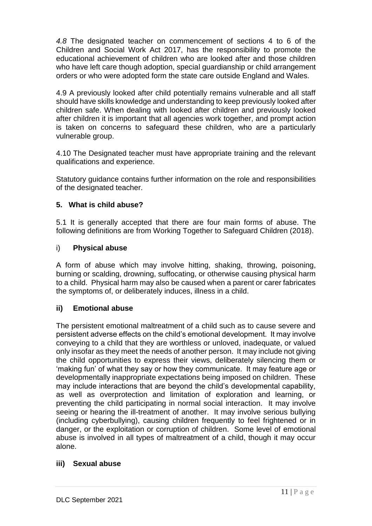*4.8* The designated teacher on commencement of sections 4 to 6 of the Children and Social Work Act 2017, has the responsibility to promote the educational achievement of children who are looked after and those children who have left care though adoption, special guardianship or child arrangement orders or who were adopted form the state care outside England and Wales.

4.9 A previously looked after child potentially remains vulnerable and all staff should have skills knowledge and understanding to keep previously looked after children safe. When dealing with looked after children and previously looked after children it is important that all agencies work together, and prompt action is taken on concerns to safeguard these children, who are a particularly vulnerable group.

4.10 The Designated teacher must have appropriate training and the relevant qualifications and experience.

Statutory guidance contains further information on [the role and responsibilities](about:blank)  [of the designated teacher.](about:blank)

### **5. What is child abuse?**

5.1 It is generally accepted that there are four main forms of abuse. The following definitions are from Working Together to Safeguard Children (2018).

### i) **Physical abuse**

A form of abuse which may involve hitting, shaking, throwing, poisoning, burning or scalding, drowning, suffocating, or otherwise causing physical harm to a child. Physical harm may also be caused when a parent or carer fabricates the symptoms of, or deliberately induces, illness in a child.

### **ii) Emotional abuse**

The persistent emotional maltreatment of a child such as to cause severe and persistent adverse effects on the child's emotional development. It may involve conveying to a child that they are worthless or unloved, inadequate, or valued only insofar as they meet the needs of another person. It may include not giving the child opportunities to express their views, deliberately silencing them or 'making fun' of what they say or how they communicate. It may feature age or developmentally inappropriate expectations being imposed on children. These may include interactions that are beyond the child's developmental capability, as well as overprotection and limitation of exploration and learning, or preventing the child participating in normal social interaction. It may involve seeing or hearing the ill-treatment of another. It may involve serious bullying (including cyberbullying), causing children frequently to feel frightened or in danger, or the exploitation or corruption of children. Some level of emotional abuse is involved in all types of maltreatment of a child, though it may occur alone.

### **iii) Sexual abuse**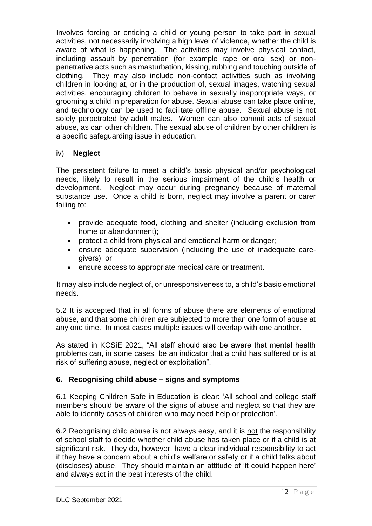Involves forcing or enticing a child or young person to take part in sexual activities, not necessarily involving a high level of violence, whether the child is aware of what is happening. The activities may involve physical contact, including assault by penetration (for example rape or oral sex) or nonpenetrative acts such as masturbation, kissing, rubbing and touching outside of clothing. They may also include non-contact activities such as involving children in looking at, or in the production of, sexual images, watching sexual activities, encouraging children to behave in sexually inappropriate ways, or grooming a child in preparation for abuse. Sexual abuse can take place online, and technology can be used to facilitate offline abuse. Sexual abuse is not solely perpetrated by adult males. Women can also commit acts of sexual abuse, as can other children. The sexual abuse of children by other children is a specific safeguarding issue in education.

## iv) **Neglect**

The persistent failure to meet a child's basic physical and/or psychological needs, likely to result in the serious impairment of the child's health or development. Neglect may occur during pregnancy because of maternal substance use. Once a child is born, neglect may involve a parent or carer failing to:

- provide adequate food, clothing and shelter (including exclusion from home or abandonment);
- protect a child from physical and emotional harm or danger;
- ensure adequate supervision (including the use of inadequate caregivers); or
- ensure access to appropriate medical care or treatment.

It may also include neglect of, or unresponsiveness to, a child's basic emotional needs.

5.2 It is accepted that in all forms of abuse there are elements of emotional abuse, and that some children are subjected to more than one form of abuse at any one time. In most cases multiple issues will overlap with one another.

As stated in KCSiE 2021, "All staff should also be aware that mental health problems can, in some cases, be an indicator that a child has suffered or is at risk of suffering abuse, neglect or exploitation".

## **6. Recognising child abuse – signs and symptoms**

6.1 Keeping Children Safe in Education is clear: 'All school and college staff members should be aware of the signs of abuse and neglect so that they are able to identify cases of children who may need help or protection'.

6.2 Recognising child abuse is not always easy, and it is not the responsibility of school staff to decide whether child abuse has taken place or if a child is at significant risk. They do, however, have a clear individual responsibility to act if they have a concern about a child's welfare or safety or if a child talks about (discloses) abuse. They should maintain an attitude of 'it could happen here' and always act in the best interests of the child.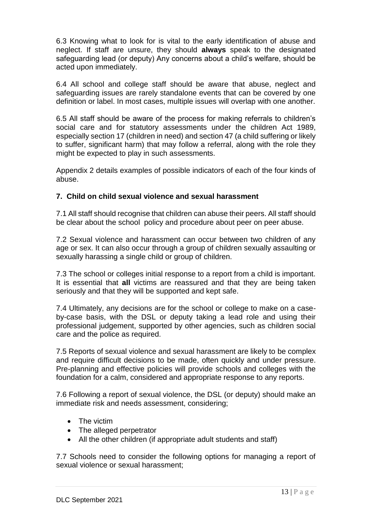6.3 Knowing what to look for is vital to the early identification of abuse and neglect. If staff are unsure, they should **always** speak to the designated safeguarding lead (or deputy) Any concerns about a child's welfare, should be acted upon immediately.

6.4 All school and college staff should be aware that abuse, neglect and safeguarding issues are rarely standalone events that can be covered by one definition or label. In most cases, multiple issues will overlap with one another.

6.5 All staff should be aware of the process for making referrals to children's social care and for statutory assessments under the children Act 1989, especially section 17 (children in need) and section 47 (a child suffering or likely to suffer, significant harm) that may follow a referral, along with the role they might be expected to play in such assessments.

Appendix 2 details examples of possible indicators of each of the four kinds of abuse.

### **7. Child on child sexual violence and sexual harassment**

7.1 All staff should recognise that children can abuse their peers. All staff should be clear about the school policy and procedure about peer on peer abuse.

7.2 Sexual violence and harassment can occur between two children of any age or sex. It can also occur through a group of children sexually assaulting or sexually harassing a single child or group of children.

7.3 The school or colleges initial response to a report from a child is important. It is essential that **all** victims are reassured and that they are being taken seriously and that they will be supported and kept safe.

7.4 Ultimately, any decisions are for the school or college to make on a caseby-case basis, with the DSL or deputy taking a lead role and using their professional judgement, supported by other agencies, such as children social care and the police as required.

7.5 Reports of sexual violence and sexual harassment are likely to be complex and require difficult decisions to be made, often quickly and under pressure. Pre-planning and effective policies will provide schools and colleges with the foundation for a calm, considered and appropriate response to any reports.

7.6 Following a report of sexual violence, the DSL (or deputy) should make an immediate risk and needs assessment, considering;

- The victim
- The alleged perpetrator
- All the other children (if appropriate adult students and staff)

7.7 Schools need to consider the following options for managing a report of sexual violence or sexual harassment;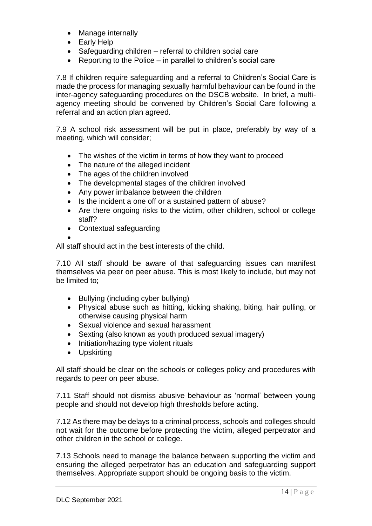- Manage internally
- Early Help
- Safeguarding children referral to children social care
- Reporting to the Police in parallel to children's social care

7.8 If children require safeguarding and a referral to Children's Social Care is made the process for managing sexually harmful behaviour can be found in the inter-agency safeguarding procedures on the DSCB website. In brief, a multiagency meeting should be convened by Children's Social Care following a referral and an action plan agreed.

7.9 A school risk assessment will be put in place, preferably by way of a meeting, which will consider;

- The wishes of the victim in terms of how they want to proceed
- The nature of the alleged incident
- The ages of the children involved
- The developmental stages of the children involved
- Any power imbalance between the children
- Is the incident a one off or a sustained pattern of abuse?
- Are there ongoing risks to the victim, other children, school or college staff?
- Contextual safeguarding

•

All staff should act in the best interests of the child.

7.10 All staff should be aware of that safeguarding issues can manifest themselves via peer on peer abuse. This is most likely to include, but may not be limited to;

- Bullying (including cyber bullying)
- Physical abuse such as hitting, kicking shaking, biting, hair pulling, or otherwise causing physical harm
- Sexual violence and sexual harassment
- Sexting (also known as youth produced sexual imagery)
- Initiation/hazing type violent rituals
- Upskirting

All staff should be clear on the schools or colleges policy and procedures with regards to peer on peer abuse.

7.11 Staff should not dismiss abusive behaviour as 'normal' between young people and should not develop high thresholds before acting.

7.12 As there may be delays to a criminal process, schools and colleges should not wait for the outcome before protecting the victim, alleged perpetrator and other children in the school or college.

7.13 Schools need to manage the balance between supporting the victim and ensuring the alleged perpetrator has an education and safeguarding support themselves. Appropriate support should be ongoing basis to the victim.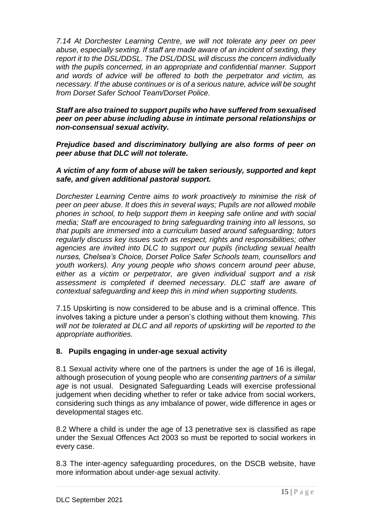*7.14 At Dorchester Learning Centre, we will not tolerate any peer on peer abuse, especially sexting. If staff are made aware of an incident of sexting, they report it to the DSL/DDSL. The DSL/DDSL will discuss the concern individually with the pupils concerned, in an appropriate and confidential manner. Support and words of advice will be offered to both the perpetrator and victim, as necessary. If the abuse continues or is of a serious nature, advice will be sought from Dorset Safer School Team/Dorset Police.* 

### *Staff are also trained to support pupils who have suffered from sexualised peer on peer abuse including abuse in intimate personal relationships or non-consensual sexual activity.*

*Prejudice based and discriminatory bullying are also forms of peer on peer abuse that DLC will not tolerate.*

### *A victim of any form of abuse will be taken seriously, supported and kept safe, and given additional pastoral support.*

*Dorchester Learning Centre aims to work proactively to minimise the risk of peer on peer abuse. It does this in several ways; Pupils are not allowed mobile phones in school, to help support them in keeping safe online and with social media; Staff are encouraged to bring safeguarding training into all lessons, so that pupils are immersed into a curriculum based around safeguarding; tutors regularly discuss key issues such as respect, rights and responsibilities; other agencies are invited into DLC to support our pupils (including sexual health nurses, Chelsea's Choice, Dorset Police Safer Schools team, counsellors and youth workers). Any young people who shows concern around peer abuse, either as a victim or perpetrator, are given individual support and a risk assessment is completed if deemed necessary. DLC staff are aware of contextual safeguarding and keep this in mind when supporting students.*

7.15 Upskirting is now considered to be abuse and is a criminal offence. This involves taking a picture under a person's clothing without them knowing. *This will not be tolerated at DLC and all reports of upskirting will be reported to the appropriate authorities.* 

### **8. Pupils engaging in under-age sexual activity**

8.1 Sexual activity where one of the partners is under the age of 16 is illegal, although prosecution of young people who are *consenting partners of a similar age* is not usual. Designated Safeguarding Leads will exercise professional judgement when deciding whether to refer or take advice from social workers, considering such things as any imbalance of power, wide difference in ages or developmental stages etc.

8.2 Where a child is under the age of 13 penetrative sex is classified as rape under the Sexual Offences Act 2003 so must be reported to social workers in every case.

8.3 The inter-agency safeguarding procedures, on the DSCB website, have more information about under-age sexual activity.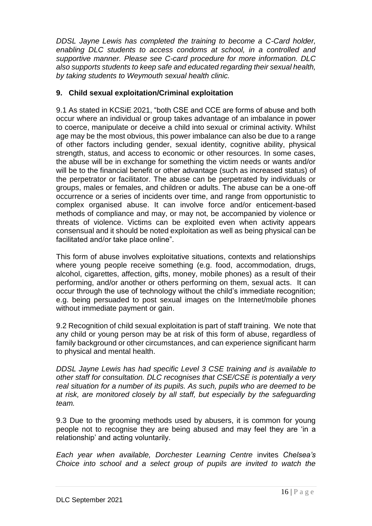*DDSL Jayne Lewis has completed the training to become a C-Card holder, enabling DLC students to access condoms at school, in a controlled and supportive manner. Please see C-card procedure for more information. DLC also supports students to keep safe and educated regarding their sexual health, by taking students to Weymouth sexual health clinic.*

### **9. Child sexual exploitation/Criminal exploitation**

9.1 As stated in KCSiE 2021, "both CSE and CCE are forms of abuse and both occur where an individual or group takes advantage of an imbalance in power to coerce, manipulate or deceive a child into sexual or criminal activity. Whilst age may be the most obvious, this power imbalance can also be due to a range of other factors including gender, sexual identity, cognitive ability, physical strength, status, and access to economic or other resources. In some cases, the abuse will be in exchange for something the victim needs or wants and/or will be to the financial benefit or other advantage (such as increased status) of the perpetrator or facilitator. The abuse can be perpetrated by individuals or groups, males or females, and children or adults. The abuse can be a one-off occurrence or a series of incidents over time, and range from opportunistic to complex organised abuse. It can involve force and/or enticement-based methods of compliance and may, or may not, be accompanied by violence or threats of violence. Victims can be exploited even when activity appears consensual and it should be noted exploitation as well as being physical can be facilitated and/or take place online".

This form of abuse involves exploitative situations, contexts and relationships where young people receive something (e.g. food, accommodation, drugs, alcohol, cigarettes, affection, gifts, money, mobile phones) as a result of their performing, and/or another or others performing on them, sexual acts. It can occur through the use of technology without the child's immediate recognition; e.g. being persuaded to post sexual images on the Internet/mobile phones without immediate payment or gain.

9.2 Recognition of child sexual exploitation is part of staff training. We note that any child or young person may be at risk of this form of abuse, regardless of family background or other circumstances, and can experience significant harm to physical and mental health.

*DDSL Jayne Lewis has had specific Level 3 CSE training and is available to other staff for consultation. DLC recognises that CSE/CSE is potentially a very real situation for a number of its pupils. As such, pupils who are deemed to be at risk, are monitored closely by all staff, but especially by the safeguarding team.* 

9.3 Due to the grooming methods used by abusers, it is common for young people not to recognise they are being abused and may feel they are 'in a relationship' and acting voluntarily.

*Each year when available, Dorchester Learning Centre* invites *Chelsea's Choice into school and a select group of pupils are invited to watch the*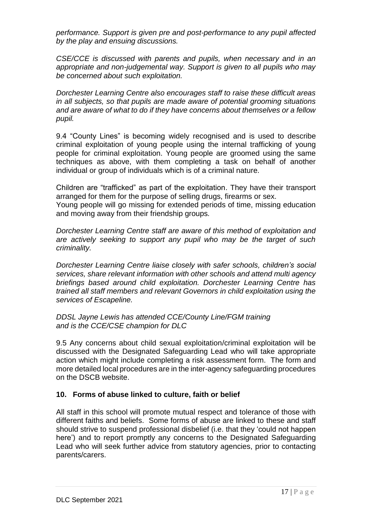*performance. Support is given pre and post-performance to any pupil affected by the play and ensuing discussions.*

*CSE/CCE is discussed with parents and pupils, when necessary and in an appropriate and non-judgemental way. Support is given to all pupils who may be concerned about such exploitation.* 

*Dorchester Learning Centre also encourages staff to raise these difficult areas in all subjects, so that pupils are made aware of potential grooming situations and are aware of what to do if they have concerns about themselves or a fellow pupil.*

9.4 "County Lines" is becoming widely recognised and is used to describe criminal exploitation of young people using the internal trafficking of young people for criminal exploitation. Young people are groomed using the same techniques as above, with them completing a task on behalf of another individual or group of individuals which is of a criminal nature.

Children are "trafficked" as part of the exploitation. They have their transport arranged for them for the purpose of selling drugs, firearms or sex.

Young people will go missing for extended periods of time, missing education and moving away from their friendship groups*.*

*Dorchester Learning Centre staff are aware of this method of exploitation and are actively seeking to support any pupil who may be the target of such criminality.* 

*Dorchester Learning Centre liaise closely with safer schools, children's social services, share relevant information with other schools and attend multi agency briefings based around child exploitation. Dorchester Learning Centre has trained all staff members and relevant Governors in child exploitation using the services of Escapeline.* 

*DDSL Jayne Lewis has attended CCE/County Line/FGM training and is the CCE/CSE champion for DLC* 

9.5 Any concerns about child sexual exploitation/criminal exploitation will be discussed with the Designated Safeguarding Lead who will take appropriate action which might include completing a risk assessment form. The form and more detailed local procedures are in the inter-agency safeguarding procedures on the DSCB website.

### **10. Forms of abuse linked to culture, faith or belief**

All staff in this school will promote mutual respect and tolerance of those with different faiths and beliefs. Some forms of abuse are linked to these and staff should strive to suspend professional disbelief (i.e. that they 'could not happen here') and to report promptly any concerns to the Designated Safeguarding Lead who will seek further advice from statutory agencies, prior to contacting parents/carers.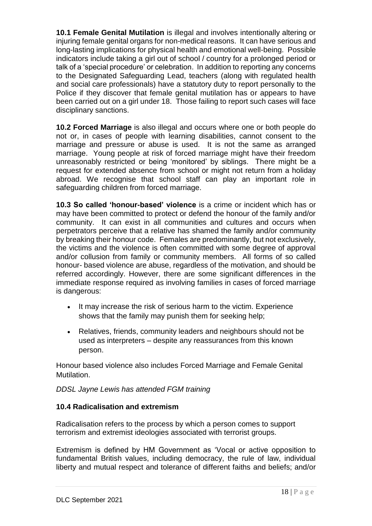**10.1 Female Genital Mutilation** is illegal and involves intentionally altering or injuring female genital organs for non-medical reasons. It can have serious and long-lasting implications for physical health and emotional well-being. Possible indicators include taking a girl out of school / country for a prolonged period or talk of a 'special procedure' or celebration. In addition to reporting any concerns to the Designated Safeguarding Lead, teachers (along with regulated health and social care professionals) have a statutory duty to report personally to the Police if they discover that female genital mutilation has or appears to have been carried out on a girl under 18. Those failing to report such cases will face disciplinary sanctions.

**10.2 Forced Marriage** is also illegal and occurs where one or both people do not or, in cases of people with learning disabilities, cannot consent to the marriage and pressure or abuse is used. It is not the same as arranged marriage. Young people at risk of forced marriage might have their freedom unreasonably restricted or being 'monitored' by siblings. There might be a request for extended absence from school or might not return from a holiday abroad. We recognise that school staff can play an important role in safeguarding children from forced marriage.

**10.3 So called 'honour-based' violence** is a crime or incident which has or may have been committed to protect or defend the honour of the family and/or community. It can exist in all communities and cultures and occurs when perpetrators perceive that a relative has shamed the family and/or community by breaking their honour code. Females are predominantly, but not exclusively, the victims and the violence is often committed with some degree of approval and/or collusion from family or community members. All forms of so called honour- based violence are abuse, regardless of the motivation, and should be referred accordingly. However, there are some significant differences in the immediate response required as involving families in cases of forced marriage is dangerous:

- It may increase the risk of serious harm to the victim. Experience shows that the family may punish them for seeking help;
- Relatives, friends, community leaders and neighbours should not be used as interpreters – despite any reassurances from this known person.

Honour based violence also includes Forced Marriage and Female Genital Mutilation.

### *DDSL Jayne Lewis has attended FGM training*

### **10.4 Radicalisation and extremism**

Radicalisation refers to the process by which a person comes to support terrorism and extremist ideologies associated with terrorist groups.

Extremism is defined by HM Government as 'Vocal or active opposition to fundamental British values, including democracy, the rule of law, individual liberty and mutual respect and tolerance of different faiths and beliefs; and/or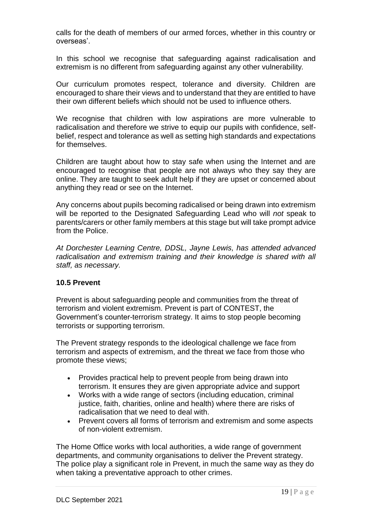calls for the death of members of our armed forces, whether in this country or overseas'.

In this school we recognise that safeguarding against radicalisation and extremism is no different from safeguarding against any other vulnerability*.* 

Our curriculum promotes respect, tolerance and diversity. Children are encouraged to share their views and to understand that they are entitled to have their own different beliefs which should not be used to influence others.

We recognise that children with low aspirations are more vulnerable to radicalisation and therefore we strive to equip our pupils with confidence, selfbelief, respect and tolerance as well as setting high standards and expectations for themselves.

Children are taught about how to stay safe when using the Internet and are encouraged to recognise that people are not always who they say they are online. They are taught to seek adult help if they are upset or concerned about anything they read or see on the Internet.

Any concerns about pupils becoming radicalised or being drawn into extremism will be reported to the Designated Safeguarding Lead who will *not* speak to parents/carers or other family members at this stage but will take prompt advice from the Police.

*At Dorchester Learning Centre, DDSL, Jayne Lewis, has attended advanced radicalisation and extremism training and their knowledge is shared with all staff, as necessary.*

### **10.5 Prevent**

Prevent is about safeguarding people and communities from the threat of terrorism and violent extremism. Prevent is part of CONTEST, the Government's counter-terrorism strategy. It aims to stop people becoming terrorists or supporting terrorism.

The Prevent strategy responds to the ideological challenge we face from terrorism and aspects of extremism, and the threat we face from those who promote these views;

- Provides practical help to prevent people from being drawn into terrorism. It ensures they are given appropriate advice and support
- Works with a wide range of sectors (including education, criminal justice, faith, charities, online and health) where there are risks of radicalisation that we need to deal with.
- Prevent covers all forms of terrorism and extremism and some aspects of non-violent extremism.

The Home Office works with local authorities, a wide range of government departments, and community organisations to deliver the Prevent strategy. The police play a significant role in Prevent, in much the same way as they do when taking a preventative approach to other crimes.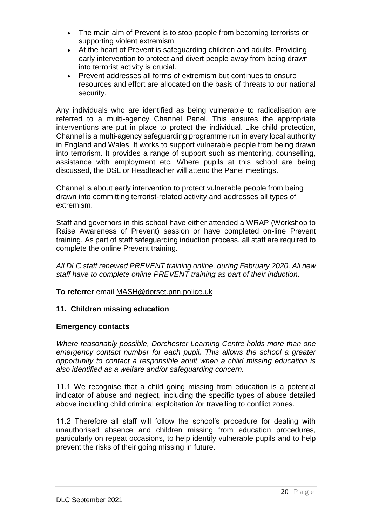- The main aim of Prevent is to stop people from becoming terrorists or supporting violent extremism.
- At the heart of Prevent is safeguarding children and adults. Providing early intervention to protect and divert people away from being drawn into terrorist activity is crucial.
- Prevent addresses all forms of extremism but continues to ensure resources and effort are allocated on the basis of threats to our national security.

Any individuals who are identified as being vulnerable to radicalisation are referred to a multi-agency Channel Panel. This ensures the appropriate interventions are put in place to protect the individual. Like child protection, Channel is a multi-agency safeguarding programme run in every local authority in England and Wales. It works to support vulnerable people from being drawn into terrorism. It provides a range of support such as mentoring, counselling, assistance with employment etc. Where pupils at this school are being discussed, the DSL or Headteacher will attend the Panel meetings.

Channel is about early intervention to protect vulnerable people from being drawn into committing terrorist-related activity and addresses all types of extremism.

Staff and governors in this school have either attended a WRAP (Workshop to Raise Awareness of Prevent) session or have completed on-line Prevent training. As part of staff safeguarding induction process, all staff are required to complete the online Prevent training.

*All DLC staff renewed PREVENT training online, during February 2020. All new staff have to complete online PREVENT training as part of their induction.*

**To referrer** email [MASH@dorset.pnn.police.uk](about:blank)

### **11. Children missing education**

### **Emergency contacts**

*Where reasonably possible, Dorchester Learning Centre holds more than one emergency contact number for each pupil. This allows the school a greater opportunity to contact a responsible adult when a child missing education is also identified as a welfare and/or safeguarding concern.*

11.1 We recognise that a child going missing from education is a potential indicator of abuse and neglect, including the specific types of abuse detailed above including child criminal exploitation /or travelling to conflict zones.

11.2 Therefore all staff will follow the school's procedure for dealing with unauthorised absence and children missing from education procedures, particularly on repeat occasions, to help identify vulnerable pupils and to help prevent the risks of their going missing in future.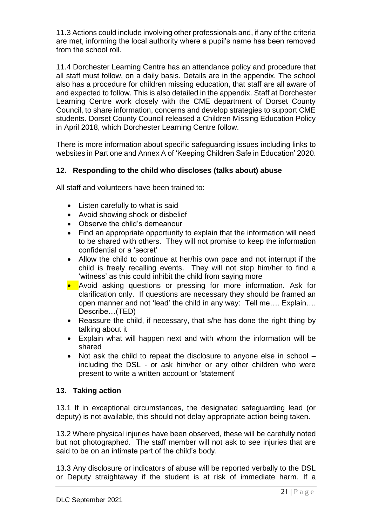11.3 Actions could include involving other professionals and, if any of the criteria are met, informing the local authority where a pupil's name has been removed from the school roll.

11.4 Dorchester Learning Centre has an attendance policy and procedure that all staff must follow, on a daily basis. Details are in the appendix. The school also has a procedure for children missing education, that staff are all aware of and expected to follow. This is also detailed in the appendix. Staff at Dorchester Learning Centre work closely with the CME department of Dorset County Council, to share information, concerns and develop strategies to support CME students. Dorset County Council released a Children Missing Education Policy in April 2018, which Dorchester Learning Centre follow.

There is more information about specific safeguarding issues including links to websites in Part one and Annex A of 'Keeping Children Safe in Education' 2020.

### **12. Responding to the child who discloses (talks about) abuse**

All staff and volunteers have been trained to:

- Listen carefully to what is said
- Avoid showing shock or disbelief
- Observe the child's demeanour
- Find an appropriate opportunity to explain that the information will need to be shared with others. They will not promise to keep the information confidential or a 'secret'
- Allow the child to continue at her/his own pace and not interrupt if the child is freely recalling events. They will not stop him/her to find a 'witness' as this could inhibit the child from saying more
- Avoid asking questions or pressing for more information. Ask for clarification only. If questions are necessary they should be framed an open manner and not 'lead' the child in any way: Tell me…. Explain…. Describe…(TED)
- Reassure the child, if necessary, that s/he has done the right thing by talking about it
- Explain what will happen next and with whom the information will be shared
- Not ask the child to repeat the disclosure to anyone else in school including the DSL - or ask him/her or any other children who were present to write a written account or 'statement'

### **13. Taking action**

13.1 If in exceptional circumstances, the designated safeguarding lead (or deputy) is not available, this should not delay appropriate action being taken.

13.2 Where physical injuries have been observed, these will be carefully noted but not photographed. The staff member will not ask to see injuries that are said to be on an intimate part of the child's body.

13.3 Any disclosure or indicators of abuse will be reported verbally to the DSL or Deputy straightaway if the student is at risk of immediate harm. If a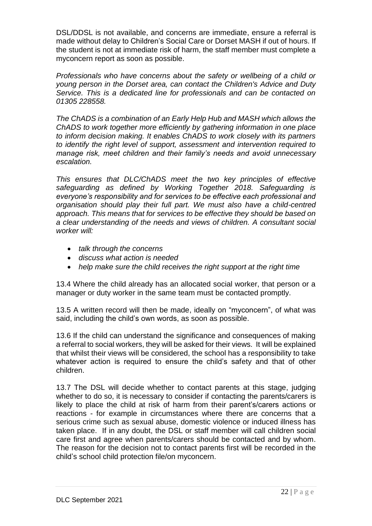DSL/DDSL is not available, and concerns are immediate, ensure a referral is made without delay to Children's Social Care or Dorset MASH if out of hours. If the student is not at immediate risk of harm, the staff member must complete a myconcern report as soon as possible.

*Professionals who have concerns about the safety or wellbeing of a child or young person in the Dorset area, can contact the Children's Advice and Duty Service. This is a dedicated line for professionals and can be contacted on 01305 228558.*

*The ChADS is a combination of an Early Help Hub and MASH which allows the ChADS to work together more efficiently by gathering information in one place to inform decision making. It enables ChADS to work closely with its partners to identify the right level of support, assessment and intervention required to manage risk, meet children and their family's needs and avoid unnecessary escalation.*

*This ensures that DLC/ChADS meet the two key principles of effective safeguarding as defined by Working Together 2018. Safeguarding is everyone's responsibility and for services to be effective each professional and organisation should play their full part. We must also have a child-centred approach. This means that for services to be effective they should be based on a clear understanding of the needs and views of children. A consultant social worker will:*

- *talk through the concerns*
- *discuss what action is needed*
- *help make sure the child receives the right support at the right time*

13.4 Where the child already has an allocated social worker, that person or a manager or duty worker in the same team must be contacted promptly.

13.5 A written record will then be made, ideally on "myconcern", of what was said, including the child's own words, as soon as possible.

13.6 If the child can understand the significance and consequences of making a referral to social workers, they will be asked for their views. It will be explained that whilst their views will be considered, the school has a responsibility to take whatever action is required to ensure the child's safety and that of other children.

13.7 The DSL will decide whether to contact parents at this stage, judging whether to do so, it is necessary to consider if contacting the parents/carers is likely to place the child at risk of harm from their parent's/carers actions or reactions - for example in circumstances where there are concerns that a serious crime such as sexual abuse, domestic violence or induced illness has taken place. If in any doubt, the DSL or staff member will call children social care first and agree when parents/carers should be contacted and by whom. The reason for the decision not to contact parents first will be recorded in the child's school child protection file/on myconcern.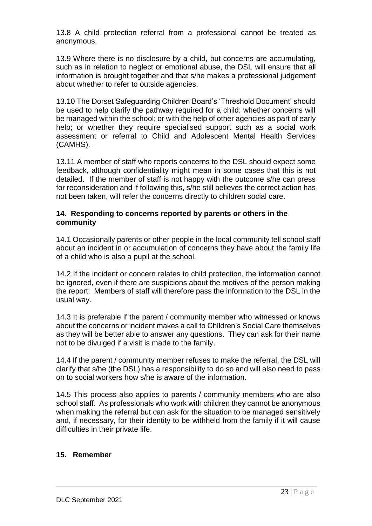13.8 A child protection referral from a professional cannot be treated as anonymous.

13.9 Where there is no disclosure by a child, but concerns are accumulating, such as in relation to neglect or emotional abuse, the DSL will ensure that all information is brought together and that s/he makes a professional judgement about whether to refer to outside agencies.

13.10 The Dorset Safeguarding Children Board's 'Threshold Document' should be used to help clarify the pathway required for a child: whether concerns will be managed within the school; or with the help of other agencies as part of early help; or whether they require specialised support such as a social work assessment or referral to Child and Adolescent Mental Health Services (CAMHS).

13.11 A member of staff who reports concerns to the DSL should expect some feedback, although confidentiality might mean in some cases that this is not detailed. If the member of staff is not happy with the outcome s/he can press for reconsideration and if following this, s/he still believes the correct action has not been taken, will refer the concerns directly to children social care.

### **14. Responding to concerns reported by parents or others in the community**

14.1 Occasionally parents or other people in the local community tell school staff about an incident in or accumulation of concerns they have about the family life of a child who is also a pupil at the school.

14.2 If the incident or concern relates to child protection, the information cannot be ignored, even if there are suspicions about the motives of the person making the report. Members of staff will therefore pass the information to the DSL in the usual way.

14.3 It is preferable if the parent / community member who witnessed or knows about the concerns or incident makes a call to Children's Social Care themselves as they will be better able to answer any questions. They can ask for their name not to be divulged if a visit is made to the family.

14.4 If the parent / community member refuses to make the referral, the DSL will clarify that s/he (the DSL) has a responsibility to do so and will also need to pass on to social workers how s/he is aware of the information.

14.5 This process also applies to parents / community members who are also school staff. As professionals who work with children they cannot be anonymous when making the referral but can ask for the situation to be managed sensitively and, if necessary, for their identity to be withheld from the family if it will cause difficulties in their private life.

### **15. Remember**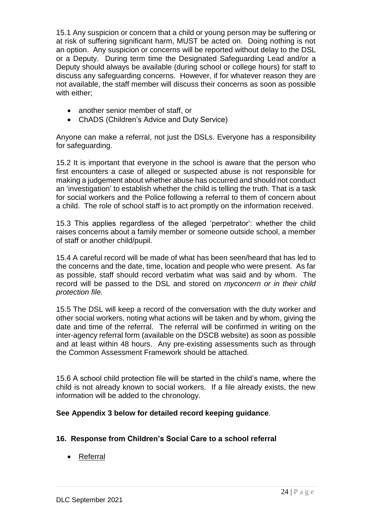15.1 Any suspicion or concern that a child or young person may be suffering or at risk of suffering significant harm, MUST be acted on. Doing nothing is not an option. Any suspicion or concerns will be reported without delay to the DSL or a Deputy. During term time the Designated Safeguarding Lead and/or a Deputy should always be available (during school or college hours) for staff to discuss any safeguarding concerns. However, if for whatever reason they are not available, the staff member will discuss their concerns as soon as possible with either:

- another senior member of staff, or
- ChADS (Children's Advice and Duty Service)

Anyone can make a referral, not just the DSLs. Everyone has a responsibility for safeguarding.

15.2 It is important that everyone in the school is aware that the person who first encounters a case of alleged or suspected abuse is not responsible for making a judgement about whether abuse has occurred and should not conduct an 'investigation' to establish whether the child is telling the truth. That is a task for social workers and the Police following a referral to them of concern about a child. The role of school staff is to act promptly on the information received.

15.3 This applies regardless of the alleged 'perpetrator': whether the child raises concerns about a family member or someone outside school, a member of staff or another child/pupil.

15.4 A careful record will be made of what has been seen/heard that has led to the concerns and the date, time, location and people who were present. As far as possible, staff should record verbatim what was said and by whom. The record will be passed to the DSL and stored on *myconcern or in their child protection file.*

15.5 The DSL will keep a record of the conversation with the duty worker and other social workers, noting what actions will be taken and by whom, giving the date and time of the referral. The referral will be confirmed in writing on the inter-agency referral form (available on the DSCB website) as soon as possible and at least within 48 hours. Any pre-existing assessments such as through the Common Assessment Framework should be attached.

15.6 A school child protection file will be started in the child's name, where the child is not already known to social workers. If a file already exists, the new information will be added to the chronology.

### **See Appendix 3 below for detailed record keeping guidance**.

### **16. Response from Children's Social Care to a school referral**

• Referral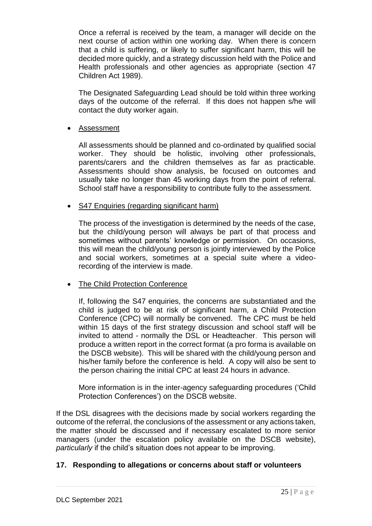Once a referral is received by the team, a manager will decide on the next course of action within one working day. When there is concern that a child is suffering, or likely to suffer significant harm, this will be decided more quickly, and a strategy discussion held with the Police and Health professionals and other agencies as appropriate (section 47 Children Act 1989).

The Designated Safeguarding Lead should be told within three working days of the outcome of the referral. If this does not happen s/he will contact the duty worker again.

### • Assessment

All assessments should be planned and co-ordinated by qualified social worker. They should be holistic, involving other professionals, parents/carers and the children themselves as far as practicable. Assessments should show analysis, be focused on outcomes and usually take no longer than 45 working days from the point of referral. School staff have a responsibility to contribute fully to the assessment.

### • S47 Enquiries (regarding significant harm)

The process of the investigation is determined by the needs of the case, but the child/young person will always be part of that process and sometimes without parents' knowledge or permission. On occasions, this will mean the child/young person is jointly interviewed by the Police and social workers, sometimes at a special suite where a videorecording of the interview is made.

### The Child Protection Conference

If, following the S47 enquiries, the concerns are substantiated and the child is judged to be at risk of significant harm, a Child Protection Conference (CPC) will normally be convened. The CPC must be held within 15 days of the first strategy discussion and school staff will be invited to attend - normally the DSL or Headteacher. This person will produce a written report in the correct format (a pro forma is available on the DSCB website). This will be shared with the child/young person and his/her family before the conference is held. A copy will also be sent to the person chairing the initial CPC at least 24 hours in advance.

More information is in the inter-agency safeguarding procedures ('Child Protection Conferences') on the DSCB website.

If the DSL disagrees with the decisions made by social workers regarding the outcome of the referral, the conclusions of the assessment or any actions taken, the matter should be discussed and if necessary escalated to more senior managers (under the escalation policy available on the DSCB website), *particularly* if the child's situation does not appear to be improving.

### **17. Responding to allegations or concerns about staff or volunteers**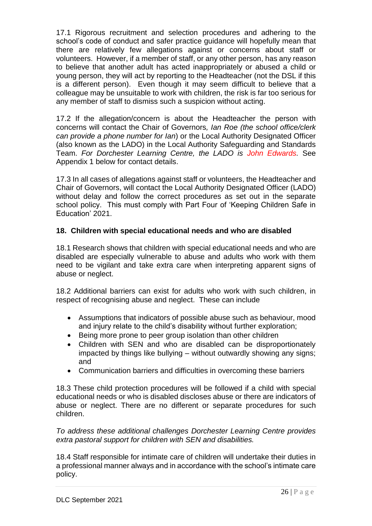17.1 Rigorous recruitment and selection procedures and adhering to the school's code of conduct and safer practice guidance will hopefully mean that there are relatively few allegations against or concerns about staff or volunteers. However, if a member of staff, or any other person, has any reason to believe that another adult has acted inappropriately or abused a child or young person, they will act by reporting to the Headteacher (not the DSL if this is a different person). Even though it may seem difficult to believe that a colleague may be unsuitable to work with children, the risk is far too serious for any member of staff to dismiss such a suspicion without acting.

17.2 If the allegation/concern is about the Headteacher the person with concerns will contact the Chair of Governors*, Ian Roe (the school office/clerk can provide a phone number for Ian*) or the Local Authority Designated Officer (also known as the LADO) in the Local Authority Safeguarding and Standards Team. *For Dorchester Learning Centre, the LADO is John Edwards.* See Appendix 1 below for contact details.

17.3 In all cases of allegations against staff or volunteers, the Headteacher and Chair of Governors, will contact the Local Authority Designated Officer (LADO) without delay and follow the correct procedures as set out in the separate school policy. This must comply with Part Four of 'Keeping Children Safe in Education' 2021.

## **18. Children with special educational needs and who are disabled**

18.1 Research shows that children with special educational needs and who are disabled are especially vulnerable to abuse and adults who work with them need to be vigilant and take extra care when interpreting apparent signs of abuse or neglect.

18.2 Additional barriers can exist for adults who work with such children, in respect of recognising abuse and neglect. These can include

- Assumptions that indicators of possible abuse such as behaviour, mood and injury relate to the child's disability without further exploration;
- Being more prone to peer group isolation than other children
- Children with SEN and who are disabled can be disproportionately impacted by things like bullying – without outwardly showing any signs; and
- Communication barriers and difficulties in overcoming these barriers

18.3 These child protection procedures will be followed if a child with special educational needs or who is disabled discloses abuse or there are indicators of abuse or neglect. There are no different or separate procedures for such children.

*To address these additional challenges Dorchester Learning Centre provides extra pastoral support for children with SEN and disabilities.*

18.4 Staff responsible for intimate care of children will undertake their duties in a professional manner always and in accordance with the school's intimate care policy.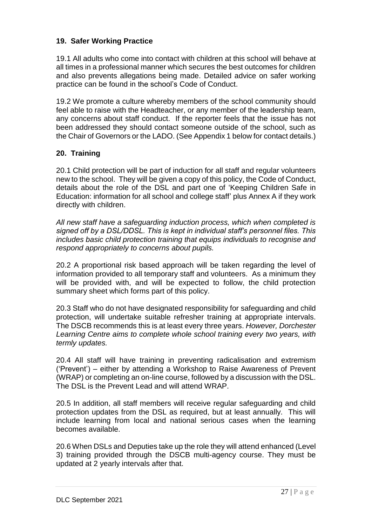## **19. Safer Working Practice**

19.1 All adults who come into contact with children at this school will behave at all times in a professional manner which secures the best outcomes for children and also prevents allegations being made. Detailed advice on safer working practice can be found in the school's Code of Conduct.

19.2 We promote a culture whereby members of the school community should feel able to raise with the Headteacher, or any member of the leadership team, any concerns about staff conduct. If the reporter feels that the issue has not been addressed they should contact someone outside of the school, such as the Chair of Governors or the LADO. (See Appendix 1 below for contact details.)

### **20. Training**

20.1 Child protection will be part of induction for all staff and regular volunteers new to the school. They will be given a copy of this policy, the Code of Conduct, details about the role of the DSL and part one of 'Keeping Children Safe in Education: information for all school and college staff' plus Annex A if they work directly with children.

*All new staff have a safeguarding induction process, which when completed is signed off by a DSL/DDSL. This is kept in individual staff's personnel files. This includes basic child protection training that equips individuals to recognise and respond appropriately to concerns about pupils.* 

20.2 A proportional risk based approach will be taken regarding the level of information provided to all temporary staff and volunteers. As a minimum they will be provided with, and will be expected to follow, the child protection summary sheet which forms part of this policy.

20.3 Staff who do not have designated responsibility for safeguarding and child protection, will undertake suitable refresher training at appropriate intervals. The DSCB recommends this is at least every three years. *However, Dorchester Learning Centre aims to complete whole school training every two years, with termly updates.*

20.4 All staff will have training in preventing radicalisation and extremism ('Prevent') – either by attending a Workshop to Raise Awareness of Prevent (WRAP) or completing an on-line course, followed by a discussion with the DSL. The DSL is the Prevent Lead and will attend WRAP.

20.5 In addition, all staff members will receive regular safeguarding and child protection updates from the DSL as required, but at least annually. This will include learning from local and national serious cases when the learning becomes available.

20.6 When DSLs and Deputies take up the role they will attend enhanced (Level 3) training provided through the DSCB multi-agency course. They must be updated at 2 yearly intervals after that.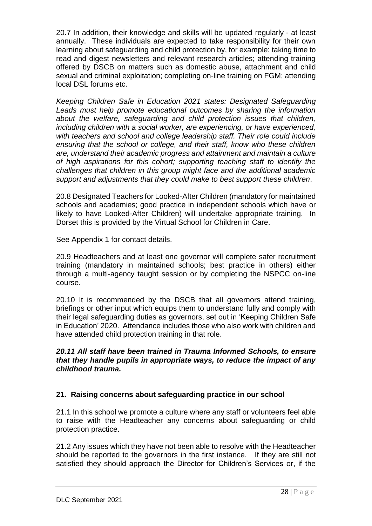20.7 In addition, their knowledge and skills will be updated regularly - at least annually. These individuals are expected to take responsibility for their own learning about safeguarding and child protection by, for example: taking time to read and digest newsletters and relevant research articles; attending training offered by DSCB on matters such as domestic abuse, attachment and child sexual and criminal exploitation; completing on-line training on FGM; attending local DSL forums etc.

*Keeping Children Safe in Education 2021 states: Designated Safeguarding Leads must help promote educational outcomes by sharing the information about the welfare, safeguarding and child protection issues that children, including children with a social worker, are experiencing, or have experienced, with teachers and school and college leadership staff. Their role could include ensuring that the school or college, and their staff, know who these children are, understand their academic progress and attainment and maintain a culture of high aspirations for this cohort; supporting teaching staff to identify the challenges that children in this group might face and the additional academic support and adjustments that they could make to best support these children*.

20.8 Designated Teachers for Looked-After Children (mandatory for maintained schools and academies; good practice in independent schools which have or likely to have Looked-After Children) will undertake appropriate training. In Dorset this is provided by the Virtual School for Children in Care.

See Appendix 1 for contact details.

20.9 Headteachers and at least one governor will complete safer recruitment training (mandatory in maintained schools; best practice in others) either through a multi-agency taught session or by completing the NSPCC on-line course.

20.10 It is recommended by the DSCB that all governors attend training, briefings or other input which equips them to understand fully and comply with their legal safeguarding duties as governors, set out in 'Keeping Children Safe in Education' 2020. Attendance includes those who also work with children and have attended child protection training in that role.

### *20.11 All staff have been trained in Trauma Informed Schools, to ensure that they handle pupils in appropriate ways, to reduce the impact of any childhood trauma.*

### **21. Raising concerns about safeguarding practice in our school**

21.1 In this school we promote a culture where any staff or volunteers feel able to raise with the Headteacher any concerns about safeguarding or child protection practice.

21.2 Any issues which they have not been able to resolve with the Headteacher should be reported to the governors in the first instance. If they are still not satisfied they should approach the Director for Children's Services or, if the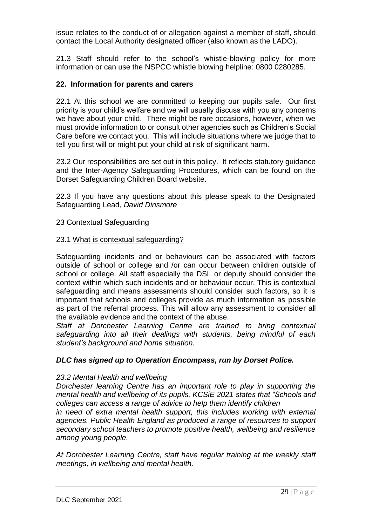issue relates to the conduct of or allegation against a member of staff, should contact the Local Authority designated officer (also known as the LADO).

21.3 Staff should refer to the school's whistle-blowing policy for more information or can use the NSPCC whistle blowing helpline: 0800 0280285.

### **22. Information for parents and carers**

22.1 At this school we are committed to keeping our pupils safe. Our first priority is your child's welfare and we will usually discuss with you any concerns we have about your child. There might be rare occasions, however, when we must provide information to or consult other agencies such as Children's Social Care before we contact you. This will include situations where we judge that to tell you first will or might put your child at risk of significant harm.

23.2 Our responsibilities are set out in this policy. It reflects statutory guidance and the Inter-Agency Safeguarding Procedures, which can be found on the Dorset Safeguarding Children Board website.

22.3 If you have any questions about this please speak to the Designated Safeguarding Lead, *David Dinsmore*

23 Contextual Safeguarding

### 23.1 [What is contextual safeguarding?](about:blank)

Safeguarding incidents and or behaviours can be associated with factors outside of school or college and /or can occur between children outside of school or college. All staff especially the DSL or deputy should consider the context within which such incidents and or behaviour occur. This is contextual safeguarding and means assessments should consider such factors, so it is important that schools and colleges provide as much information as possible as part of the referral process. This will allow any assessment to consider all the available evidence and the context of the abuse.

*Staff at Dorchester Learning Centre are trained to bring contextual safeguarding into all their dealings with students, being mindful of each student's background and home situation.*

### *DLC has signed up to Operation Encompass, run by Dorset Police.*

### *23.2 Mental Health and wellbeing*

*Dorchester learning Centre has an important role to play in supporting the mental health and wellbeing of its pupils. KCSiE 2021 states that "Schools and colleges can access a range of advice to help them identify children*

*in need of extra mental health support, this includes working with external agencies. Public Health England as produced a range of resources to support secondary school teachers to promote positive health, wellbeing and resilience among young people.*

*At Dorchester Learning Centre, staff have regular training at the weekly staff meetings, in wellbeing and mental health.*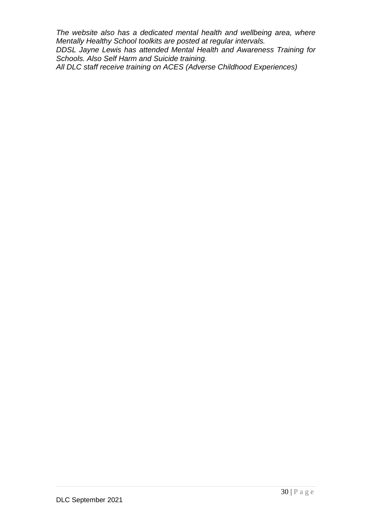*The website also has a dedicated mental health and wellbeing area, where Mentally Healthy School toolkits are posted at regular intervals. DDSL Jayne Lewis has attended Mental Health and Awareness Training for Schools. Also Self Harm and Suicide training. All DLC staff receive training on ACES (Adverse Childhood Experiences)*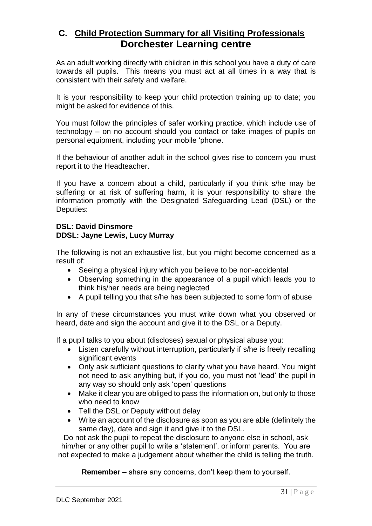## **C. Child Protection Summary for all Visiting Professionals Dorchester Learning centre**

As an adult working directly with children in this school you have a duty of care towards all pupils. This means you must act at all times in a way that is consistent with their safety and welfare.

It is your responsibility to keep your child protection training up to date; you might be asked for evidence of this.

You must follow the principles of safer working practice, which include use of technology – on no account should you contact or take images of pupils on personal equipment, including your mobile 'phone.

If the behaviour of another adult in the school gives rise to concern you must report it to the Headteacher.

If you have a concern about a child, particularly if you think s/he may be suffering or at risk of suffering harm, it is your responsibility to share the information promptly with the Designated Safeguarding Lead (DSL) or the Deputies:

### **DSL: David Dinsmore DDSL: Jayne Lewis, Lucy Murray**

The following is not an exhaustive list, but you might become concerned as a result of:

- Seeing a physical injury which you believe to be non-accidental
- Observing something in the appearance of a pupil which leads you to think his/her needs are being neglected
- A pupil telling you that s/he has been subjected to some form of abuse

In any of these circumstances you must write down what you observed or heard, date and sign the account and give it to the DSL or a Deputy.

If a pupil talks to you about (discloses) sexual or physical abuse you:

- Listen carefully without interruption, particularly if s/he is freely recalling significant events
- Only ask sufficient questions to clarify what you have heard. You might not need to ask anything but, if you do, you must not 'lead' the pupil in any way so should only ask 'open' questions
- Make it clear you are obliged to pass the information on, but only to those who need to know
- Tell the DSL or Deputy without delay
- Write an account of the disclosure as soon as you are able (definitely the same day), date and sign it and give it to the DSL.

Do not ask the pupil to repeat the disclosure to anyone else in school, ask him/her or any other pupil to write a 'statement', or inform parents. You are not expected to make a judgement about whether the child is telling the truth.

**Remember** – share any concerns, don't keep them to yourself.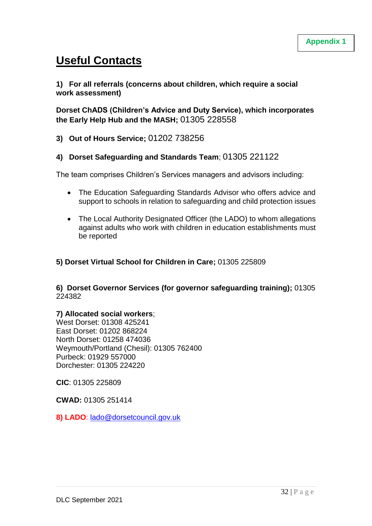# **Useful Contacts**

### **1) For all referrals (concerns about children, which require a social work assessment)**

**Dorset ChADS (Children's Advice and Duty Service), which incorporates the Early Help Hub and the MASH;** 01305 228558

**3) Out of Hours Service;** 01202 738256

### **4) Dorset Safeguarding and Standards Team**; 01305 221122

The team comprises Children's Services managers and advisors including:

- The Education Safeguarding Standards Advisor who offers advice and support to schools in relation to safeguarding and child protection issues
- The Local Authority Designated Officer (the LADO) to whom allegations against adults who work with children in education establishments must be reported

### **5) Dorset Virtual School for Children in Care;** 01305 225809

**6) Dorset Governor Services (for governor safeguarding training);** 01305 224382

### **7) Allocated social workers**;

West Dorset: 01308 425241 East Dorset: 01202 868224 North Dorset: 01258 474036 Weymouth/Portland (Chesil): 01305 762400 Purbeck: 01929 557000 Dorchester: 01305 224220

**CIC**: 01305 225809

**CWAD:** 01305 251414

**8) LADO**: [lado@dorsetcouncil.gov.uk](mailto:lado@dorsetcouncil.gov.uk)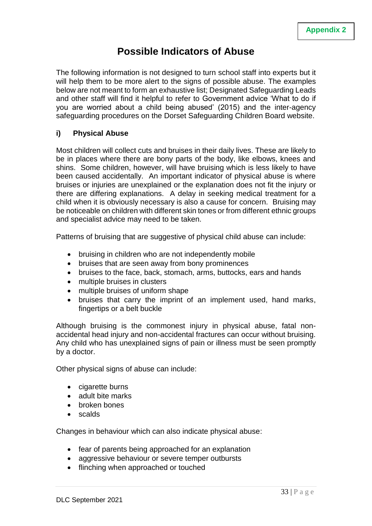# **Possible Indicators of Abuse**

The following information is not designed to turn school staff into experts but it will help them to be more alert to the signs of possible abuse. The examples below are not meant to form an exhaustive list; Designated Safeguarding Leads and other staff will find it helpful to refer to Government advice 'What to do if you are worried about a child being abused' (2015) and the inter-agency safeguarding procedures on the Dorset Safeguarding Children Board website.

### **i) Physical Abuse**

Most children will collect cuts and bruises in their daily lives. These are likely to be in places where there are bony parts of the body, like elbows, knees and shins. Some children, however, will have bruising which is less likely to have been caused accidentally. An important indicator of physical abuse is where bruises or injuries are unexplained or the explanation does not fit the injury or there are differing explanations. A delay in seeking medical treatment for a child when it is obviously necessary is also a cause for concern. Bruising may be noticeable on children with different skin tones or from different ethnic groups and specialist advice may need to be taken.

Patterns of bruising that are suggestive of physical child abuse can include:

- bruising in children who are not independently mobile
- bruises that are seen away from bony prominences
- bruises to the face, back, stomach, arms, buttocks, ears and hands
- multiple bruises in clusters
- multiple bruises of uniform shape
- bruises that carry the imprint of an implement used, hand marks, fingertips or a belt buckle

Although bruising is the commonest injury in physical abuse, fatal nonaccidental head injury and non-accidental fractures can occur without bruising. Any child who has unexplained signs of pain or illness must be seen promptly by a doctor.

Other physical signs of abuse can include:

- cigarette burns
- adult bite marks
- broken bones
- scalds

Changes in behaviour which can also indicate physical abuse:

- fear of parents being approached for an explanation
- aggressive behaviour or severe temper outbursts
- flinching when approached or touched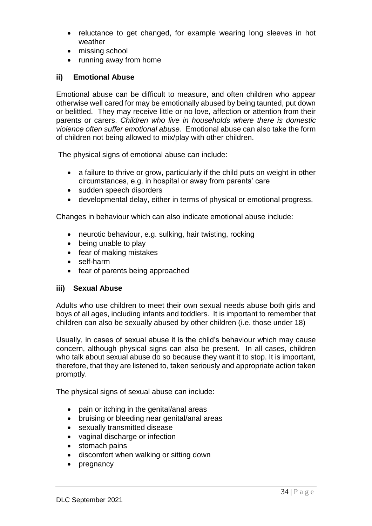- reluctance to get changed, for example wearing long sleeves in hot weather
- missing school
- running away from home

### **ii) Emotional Abuse**

Emotional abuse can be difficult to measure, and often children who appear otherwise well cared for may be emotionally abused by being taunted, put down or belittled. They may receive little or no love, affection or attention from their parents or carers. *Children who live in households where there is domestic violence often suffer emotional abuse.* Emotional abuse can also take the form of children not being allowed to mix/play with other children.

The physical signs of emotional abuse can include:

- a failure to thrive or grow, particularly if the child puts on weight in other circumstances, e.g. in hospital or away from parents' care
- sudden speech disorders
- developmental delay, either in terms of physical or emotional progress.

Changes in behaviour which can also indicate emotional abuse include:

- neurotic behaviour, e.g. sulking, hair twisting, rocking
- being unable to play
- fear of making mistakes
- self-harm
- fear of parents being approached

### **iii) Sexual Abuse**

Adults who use children to meet their own sexual needs abuse both girls and boys of all ages, including infants and toddlers. It is important to remember that children can also be sexually abused by other children (i.e. those under 18)

Usually, in cases of sexual abuse it is the child's behaviour which may cause concern, although physical signs can also be present. In all cases, children who talk about sexual abuse do so because they want it to stop. It is important, therefore, that they are listened to, taken seriously and appropriate action taken promptly.

The physical signs of sexual abuse can include:

- pain or itching in the genital/anal areas
- bruising or bleeding near genital/anal areas
- sexually transmitted disease
- vaginal discharge or infection
- stomach pains
- discomfort when walking or sitting down
- pregnancy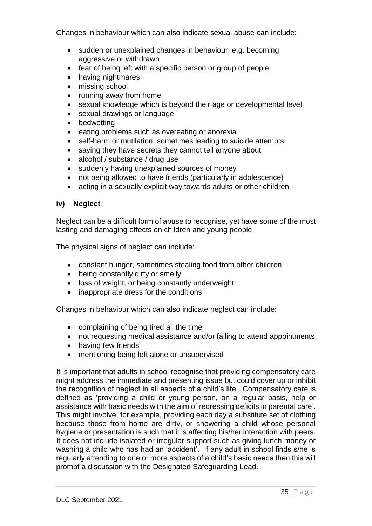Changes in behaviour which can also indicate sexual abuse can include:

- sudden or unexplained changes in behaviour, e.g. becoming aggressive or withdrawn
- fear of being left with a specific person or group of people
- having nightmares
- missing school
- running away from home
- sexual knowledge which is beyond their age or developmental level
- sexual drawings or language
- bedwetting
- eating problems such as overeating or anorexia
- self-harm or mutilation, sometimes leading to suicide attempts
- saying they have secrets they cannot tell anyone about
- alcohol / substance / drug use
- suddenly having unexplained sources of money
- not being allowed to have friends (particularly in adolescence)
- acting in a sexually explicit way towards adults or other children

### **iv) Neglect**

Neglect can be a difficult form of abuse to recognise, yet have some of the most lasting and damaging effects on children and young people.

The physical signs of neglect can include:

- constant hunger, sometimes stealing food from other children
- being constantly dirty or smelly
- loss of weight, or being constantly underweight
- inappropriate dress for the conditions

Changes in behaviour which can also indicate neglect can include:

- complaining of being tired all the time
- not requesting medical assistance and/or failing to attend appointments
- having few friends
- mentioning being left alone or unsupervised

It is important that adults in school recognise that providing compensatory care might address the immediate and presenting issue but could cover up or inhibit the recognition of neglect in all aspects of a child's life. Compensatory care is defined as 'providing a child or young person, on a regular basis, help or assistance with basic needs with the aim of redressing deficits in parental care'. This might involve, for example, providing each day a substitute set of clothing because those from home are dirty, or showering a child whose personal hygiene or presentation is such that it is affecting his/her interaction with peers. It does not include isolated or irregular support such as giving lunch money or washing a child who has had an 'accident'. If any adult in school finds s/he is regularly attending to one or more aspects of a child's basic needs then this will prompt a discussion with the Designated Safeguarding Lead.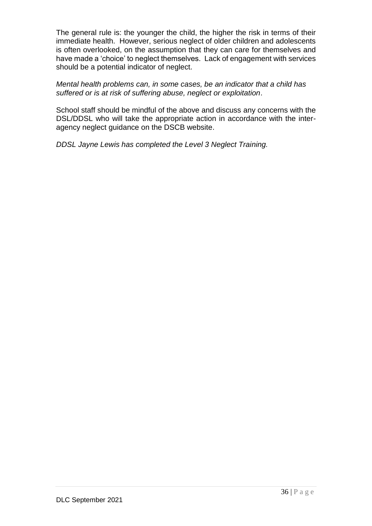The general rule is: the younger the child, the higher the risk in terms of their immediate health. However, serious neglect of older children and adolescents is often overlooked, on the assumption that they can care for themselves and have made a 'choice' to neglect themselves. Lack of engagement with services should be a potential indicator of neglect.

*Mental health problems can, in some cases, be an indicator that a child has suffered or is at risk of suffering abuse, neglect or exploitation*.

School staff should be mindful of the above and discuss any concerns with the DSL/DDSL who will take the appropriate action in accordance with the interagency neglect guidance on the DSCB website.

*DDSL Jayne Lewis has completed the Level 3 Neglect Training.*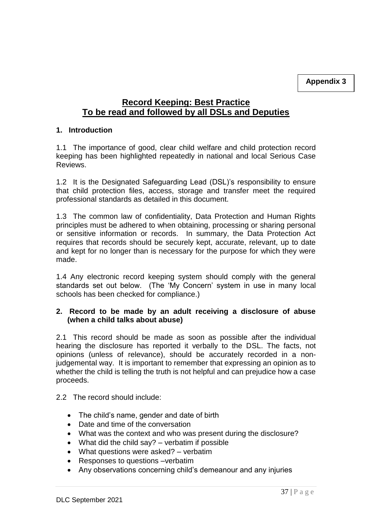## **Record Keeping: Best Practice To be read and followed by all DSLs and Deputies**

### **1. Introduction**

1.1 The importance of good, clear child welfare and child protection record keeping has been highlighted repeatedly in national and local Serious Case **Reviews** 

1.2 It is the Designated Safeguarding Lead (DSL)'s responsibility to ensure that child protection files, access, storage and transfer meet the required professional standards as detailed in this document.

1.3 The common law of confidentiality, Data Protection and Human Rights principles must be adhered to when obtaining, processing or sharing personal or sensitive information or records. In summary, the Data Protection Act requires that records should be securely kept, accurate, relevant, up to date and kept for no longer than is necessary for the purpose for which they were made.

1.4 Any electronic record keeping system should comply with the general standards set out below. (The 'My Concern' system in use in many local schools has been checked for compliance.)

### **2. Record to be made by an adult receiving a disclosure of abuse (when a child talks about abuse)**

2.1 This record should be made as soon as possible after the individual hearing the disclosure has reported it verbally to the DSL. The facts, not opinions (unless of relevance), should be accurately recorded in a nonjudgemental way. It is important to remember that expressing an opinion as to whether the child is telling the truth is not helpful and can prejudice how a case proceeds.

### 2.2 The record should include:

- The child's name, gender and date of birth
- Date and time of the conversation
- What was the context and who was present during the disclosure?
- What did the child say?  $-$  verbatim if possible
- What questions were asked? verbatim
- Responses to questions –verbatim
- Any observations concerning child's demeanour and any injuries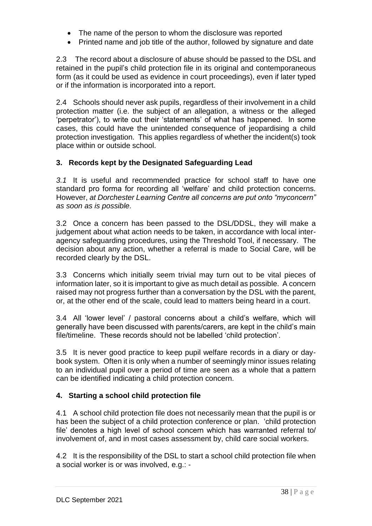- The name of the person to whom the disclosure was reported
- Printed name and job title of the author, followed by signature and date

2.3 The record about a disclosure of abuse should be passed to the DSL and retained in the pupil's child protection file in its original and contemporaneous form (as it could be used as evidence in court proceedings), even if later typed or if the information is incorporated into a report.

2.4 Schools should never ask pupils, regardless of their involvement in a child protection matter (i.e. the subject of an allegation, a witness or the alleged 'perpetrator'), to write out their 'statements' of what has happened. In some cases, this could have the unintended consequence of jeopardising a child protection investigation. This applies regardless of whether the incident(s) took place within or outside school.

### **3. Records kept by the Designated Safeguarding Lead**

*3.1* It is useful and recommended practice for school staff to have one standard pro forma for recording all 'welfare' and child protection concerns. However, *at Dorchester Learning Centre all concerns are put onto "myconcern" as soon as is possible.*

3.2 Once a concern has been passed to the DSL/DDSL, they will make a judgement about what action needs to be taken, in accordance with local interagency safeguarding procedures, using the Threshold Tool, if necessary. The decision about any action, whether a referral is made to Social Care, will be recorded clearly by the DSL.

3.3 Concerns which initially seem trivial may turn out to be vital pieces of information later, so it is important to give as much detail as possible. A concern raised may not progress further than a conversation by the DSL with the parent, or, at the other end of the scale, could lead to matters being heard in a court.

3.4 All 'lower level' / pastoral concerns about a child's welfare, which will generally have been discussed with parents/carers, are kept in the child's main file/timeline. These records should not be labelled 'child protection'.

3.5 It is never good practice to keep pupil welfare records in a diary or daybook system. Often it is only when a number of seemingly minor issues relating to an individual pupil over a period of time are seen as a whole that a pattern can be identified indicating a child protection concern.

### **4. Starting a school child protection file**

4.1 A school child protection file does not necessarily mean that the pupil is or has been the subject of a child protection conference or plan. 'child protection file' denotes a high level of school concern which has warranted referral to/ involvement of, and in most cases assessment by, child care social workers.

4.2 It is the responsibility of the DSL to start a school child protection file when a social worker is or was involved, e.g.: -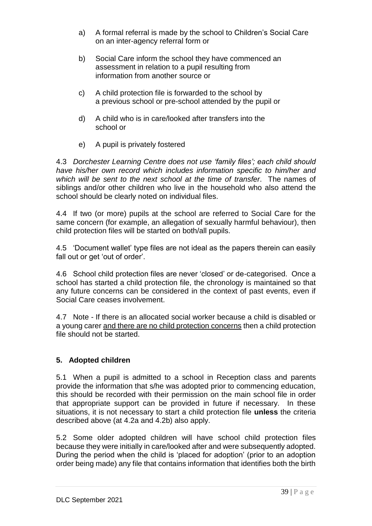- a) A formal referral is made by the school to Children's Social Care on an inter-agency referral form or
- b) Social Care inform the school they have commenced an assessment in relation to a pupil resulting from information from another source or
- c) A child protection file is forwarded to the school by a previous school or pre-school attended by the pupil or
- d) A child who is in care/looked after transfers into the school or
- e) A pupil is privately fostered

4.3 *Dorchester Learning Centre does not use 'family files'; each child should have his/her own record which includes information specific to him/her and which will be sent to the next school at the time of transfer*. The names of siblings and/or other children who live in the household who also attend the school should be clearly noted on individual files.

4.4 If two (or more) pupils at the school are referred to Social Care for the same concern (for example, an allegation of sexually harmful behaviour), then child protection files will be started on both/all pupils.

4.5 'Document wallet' type files are not ideal as the papers therein can easily fall out or get 'out of order'.

4.6 School child protection files are never 'closed' or de-categorised. Once a school has started a child protection file, the chronology is maintained so that any future concerns can be considered in the context of past events, even if Social Care ceases involvement.

4.7 Note - If there is an allocated social worker because a child is disabled or a young carer and there are no child protection concerns then a child protection file should not be started.

## **5. Adopted children**

5.1 When a pupil is admitted to a school in Reception class and parents provide the information that s/he was adopted prior to commencing education, this should be recorded with their permission on the main school file in order that appropriate support can be provided in future if necessary. In these situations, it is not necessary to start a child protection file **unless** the criteria described above (at 4.2a and 4.2b) also apply.

5.2 Some older adopted children will have school child protection files because they were initially in care/looked after and were subsequently adopted. During the period when the child is 'placed for adoption' (prior to an adoption order being made) any file that contains information that identifies both the birth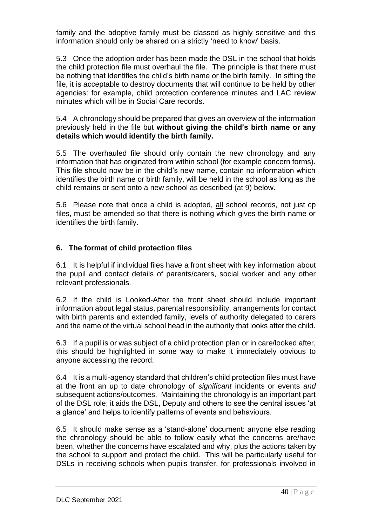family and the adoptive family must be classed as highly sensitive and this information should only be shared on a strictly 'need to know' basis.

5.3 Once the adoption order has been made the DSL in the school that holds the child protection file must overhaul the file. The principle is that there must be nothing that identifies the child's birth name or the birth family. In sifting the file, it is acceptable to destroy documents that will continue to be held by other agencies: for example, child protection conference minutes and LAC review minutes which will be in Social Care records.

5.4 A chronology should be prepared that gives an overview of the information previously held in the file but **without giving the child's birth name or any details which would identify the birth family.**

5.5 The overhauled file should only contain the new chronology and any information that has originated from within school (for example concern forms). This file should now be in the child's new name, contain no information which identifies the birth name or birth family, will be held in the school as long as the child remains or sent onto a new school as described (at 9) below.

5.6 Please note that once a child is adopted, all school records, not just cp files, must be amended so that there is nothing which gives the birth name or identifies the birth family.

### **6. The format of child protection files**

6.1 It is helpful if individual files have a front sheet with key information about the pupil and contact details of parents/carers, social worker and any other relevant professionals.

6.2 If the child is Looked-After the front sheet should include important information about legal status, parental responsibility, arrangements for contact with birth parents and extended family, levels of authority delegated to carers and the name of the virtual school head in the authority that looks after the child.

6.3 If a pupil is or was subject of a child protection plan or in care/looked after, this should be highlighted in some way to make it immediately obvious to anyone accessing the record.

6.4 It is a multi-agency standard that children's child protection files must have at the front an up to date chronology of *significant* incidents or events *and* subsequent actions/outcomes. Maintaining the chronology is an important part of the DSL role; it aids the DSL, Deputy and others to see the central issues 'at a glance' and helps to identify patterns of events and behaviours.

6.5 It should make sense as a 'stand-alone' document: anyone else reading the chronology should be able to follow easily what the concerns are/have been, whether the concerns have escalated and why, plus the actions taken by the school to support and protect the child. This will be particularly useful for DSLs in receiving schools when pupils transfer, for professionals involved in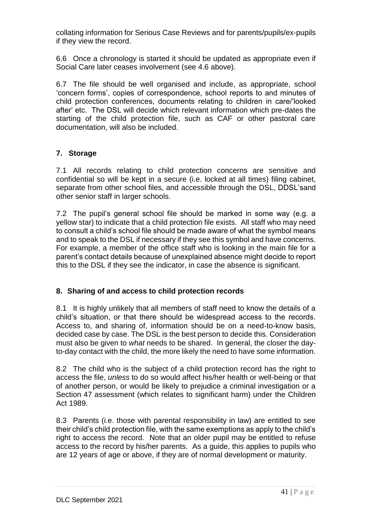collating information for Serious Case Reviews and for parents/pupils/ex-pupils if they view the record.

6.6 Once a chronology is started it should be updated as appropriate even if Social Care later ceases involvement (see 4.6 above).

6.7 The file should be well organised and include, as appropriate, school 'concern forms', copies of correspondence, school reports to and minutes of child protection conferences, documents relating to children in care/'looked after' etc. The DSL will decide which relevant information which pre-dates the starting of the child protection file, such as CAF or other pastoral care documentation, will also be included.

## **7. Storage**

7.1 All records relating to child protection concerns are sensitive and confidential so will be kept in a secure (i.e. locked at all times) filing cabinet, separate from other school files, and accessible through the DSL, DDSL'sand other senior staff in larger schools.

7.2 The pupil's general school file should be marked in some way (e.g. a yellow star) to indicate that a child protection file exists. All staff who may need to consult a child's school file should be made aware of what the symbol means and to speak to the DSL if necessary if they see this symbol and have concerns. For example, a member of the office staff who is looking in the main file for a parent's contact details because of unexplained absence might decide to report this to the DSL if they see the indicator, in case the absence is significant.

### **8. Sharing of and access to child protection records**

8.1 It is highly unlikely that all members of staff need to know the details of a child's situation, or that there should be widespread access to the records. Access to, and sharing of, information should be on a need-to-know basis, decided case by case. The DSL is the best person to decide this. Consideration must also be given to *what* needs to be shared. In general, the closer the dayto-day contact with the child, the more likely the need to have some information.

8.2 The child who is the subject of a child protection record has the right to access the file, *unless* to do so would affect his/her health or well-being or that of another person, or would be likely to prejudice a criminal investigation or a Section 47 assessment (which relates to significant harm) under the Children Act 1989.

8.3 Parents (i.e. those with parental responsibility in law) are entitled to see their child's child protection file, with the same exemptions as apply to the child's right to access the record. Note that an older pupil may be entitled to refuse access to the record by his/her parents. As a guide, this applies to pupils who are 12 years of age or above, if they are of normal development or maturity.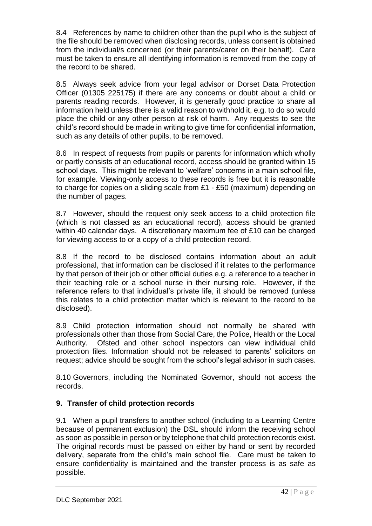8.4 References by name to children other than the pupil who is the subject of the file should be removed when disclosing records, unless consent is obtained from the individual/s concerned (or their parents/carer on their behalf). Care must be taken to ensure all identifying information is removed from the copy of the record to be shared.

8.5 Always seek advice from your legal advisor or Dorset Data Protection Officer (01305 225175) if there are any concerns or doubt about a child or parents reading records. However, it is generally good practice to share all information held unless there is a valid reason to withhold it, e.g. to do so would place the child or any other person at risk of harm. Any requests to see the child's record should be made in writing to give time for confidential information, such as any details of other pupils, to be removed.

8.6 In respect of requests from pupils or parents for information which wholly or partly consists of an educational record, access should be granted within 15 school days. This might be relevant to 'welfare' concerns in a main school file, for example. Viewing-only access to these records is free but it is reasonable to charge for copies on a sliding scale from £1 - £50 (maximum) depending on the number of pages.

8.7 However, should the request only seek access to a child protection file (which is not classed as an educational record), access should be granted within 40 calendar days. A discretionary maximum fee of £10 can be charged for viewing access to or a copy of a child protection record.

8.8 If the record to be disclosed contains information about an adult professional, that information can be disclosed if it relates to the performance by that person of their job or other official duties e.g. a reference to a teacher in their teaching role or a school nurse in their nursing role. However, if the reference refers to that individual's private life, it should be removed (unless this relates to a child protection matter which is relevant to the record to be disclosed).

8.9 Child protection information should not normally be shared with professionals other than those from Social Care, the Police, Health or the Local Authority. Ofsted and other school inspectors can view individual child protection files. Information should not be released to parents' solicitors on request; advice should be sought from the school's legal advisor in such cases.

8.10 Governors, including the Nominated Governor, should not access the records.

## **9. Transfer of child protection records**

9.1 When a pupil transfers to another school (including to a Learning Centre because of permanent exclusion) the DSL should inform the receiving school as soon as possible in person or by telephone that child protection records exist. The original records must be passed on either by hand or sent by recorded delivery, separate from the child's main school file. Care must be taken to ensure confidentiality is maintained and the transfer process is as safe as possible.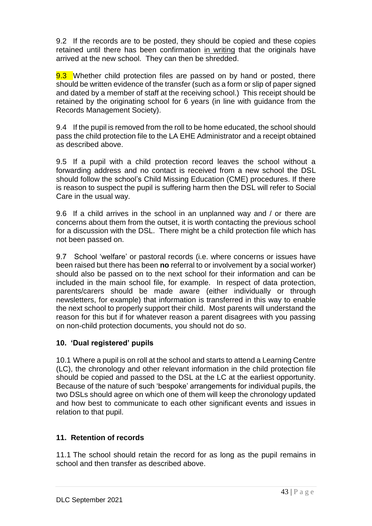9.2 If the records are to be posted, they should be copied and these copies retained until there has been confirmation in writing that the originals have arrived at the new school. They can then be shredded.

9.3 Whether child protection files are passed on by hand or posted, there should be written evidence of the transfer (such as a form or slip of paper signed and dated by a member of staff at the receiving school.) This receipt should be retained by the originating school for 6 years (in line with guidance from the Records Management Society).

9.4 If the pupil is removed from the roll to be home educated, the school should pass the child protection file to the LA EHE Administrator and a receipt obtained as described above.

9.5 If a pupil with a child protection record leaves the school without a forwarding address and no contact is received from a new school the DSL should follow the school's Child Missing Education (CME) procedures. If there is reason to suspect the pupil is suffering harm then the DSL will refer to Social Care in the usual way.

9.6 If a child arrives in the school in an unplanned way and / or there are concerns about them from the outset, it is worth contacting the previous school for a discussion with the DSL. There might be a child protection file which has not been passed on.

9.7 School 'welfare' or pastoral records (i.e. where concerns or issues have been raised but there has been **no** referral to or involvement by a social worker) should also be passed on to the next school for their information and can be included in the main school file, for example. In respect of data protection, parents/carers should be made aware (either individually or through newsletters, for example) that information is transferred in this way to enable the next school to properly support their child. Most parents will understand the reason for this but if for whatever reason a parent disagrees with you passing on non-child protection documents, you should not do so.

### **10. 'Dual registered' pupils**

10.1 Where a pupil is on roll at the school and starts to attend a Learning Centre (LC), the chronology and other relevant information in the child protection file should be copied and passed to the DSL at the LC at the earliest opportunity. Because of the nature of such 'bespoke' arrangements for individual pupils, the two DSLs should agree on which one of them will keep the chronology updated and how best to communicate to each other significant events and issues in relation to that pupil.

## **11. Retention of records**

11.1 The school should retain the record for as long as the pupil remains in school and then transfer as described above.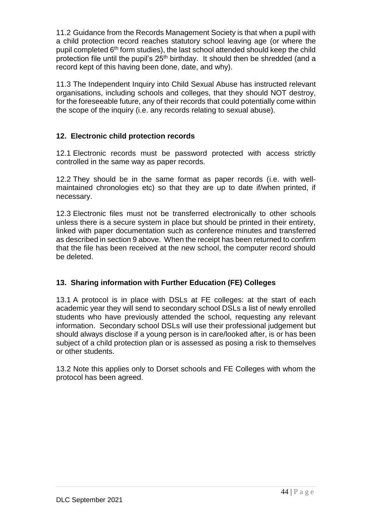11.2 Guidance from the Records Management Society is that when a pupil with a child protection record reaches statutory school leaving age (or where the pupil completed 6th form studies), the last school attended should keep the child protection file until the pupil's 25th birthday. It should then be shredded (and a record kept of this having been done, date, and why).

11.3 The Independent Inquiry into Child Sexual Abuse has instructed relevant organisations, including schools and colleges, that they should NOT destroy, for the foreseeable future, any of their records that could potentially come within the scope of the inquiry (i.e. any records relating to sexual abuse).

## **12. Electronic child protection records**

12.1 Electronic records must be password protected with access strictly controlled in the same way as paper records.

12.2 They should be in the same format as paper records (i.e. with wellmaintained chronologies etc) so that they are up to date if/when printed, if necessary.

12.3 Electronic files must not be transferred electronically to other schools unless there is a secure system in place but should be printed in their entirety, linked with paper documentation such as conference minutes and transferred as described in section 9 above. When the receipt has been returned to confirm that the file has been received at the new school, the computer record should be deleted.

### **13. Sharing information with Further Education (FE) Colleges**

13.1 A protocol is in place with DSLs at FE colleges: at the start of each academic year they will send to secondary school DSLs a list of newly enrolled students who have previously attended the school, requesting any relevant information. Secondary school DSLs will use their professional judgement but should always disclose if a young person is in care/looked after, is or has been subject of a child protection plan or is assessed as posing a risk to themselves or other students.

13.2 Note this applies only to Dorset schools and FE Colleges with whom the protocol has been agreed.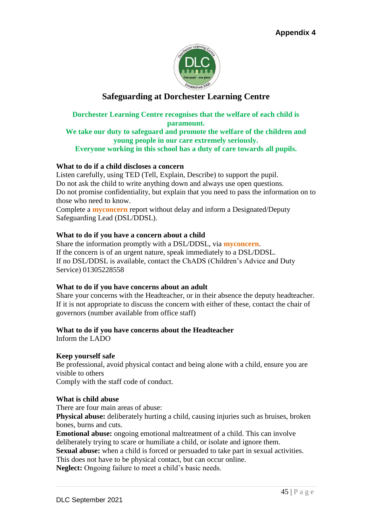

## **Safeguarding at Dorchester Learning Centre**

### **Dorchester Learning Centre recognises that the welfare of each child is paramount. We take our duty to safeguard and promote the welfare of the children and young people in our care extremely seriously.**

**Everyone working in this school has a duty of care towards all pupils.** 

### **What to do if a child discloses a concern**

Listen carefully, using TED (Tell, Explain, Describe) to support the pupil. Do not ask the child to write anything down and always use open questions. Do not promise confidentiality, but explain that you need to pass the information on to those who need to know.

Complete a **myconcern** report without delay and inform a Designated/Deputy Safeguarding Lead (DSL/DDSL).

### **What to do if you have a concern about a child**

Share the information promptly with a DSL/DDSL, via **myconcern**. If the concern is of an urgent nature, speak immediately to a DSL/DDSL. If no DSL/DDSL is available, contact the ChADS (Children's Advice and Duty Service) 01305228558

### **What to do if you have concerns about an adult**

Share your concerns with the Headteacher, or in their absence the deputy headteacher. If it is not appropriate to discuss the concern with either of these, contact the chair of governors (number available from office staff)

### **What to do if you have concerns about the Headteacher**

Inform the LADO

### **Keep yourself safe**

Be professional, avoid physical contact and being alone with a child, ensure you are visible to others

Comply with the staff code of conduct.

### **What is child abuse**

There are four main areas of abuse:

**Physical abuse:** deliberately hurting a child, causing injuries such as bruises, broken bones, burns and cuts.

**Emotional abuse:** ongoing emotional maltreatment of a child. This can involve deliberately trying to scare or humiliate a child, or isolate and ignore them.

**Sexual abuse:** when a child is forced or persuaded to take part in sexual activities. This does not have to be physical contact, but can occur online.

**Neglect:** Ongoing failure to meet a child's basic needs.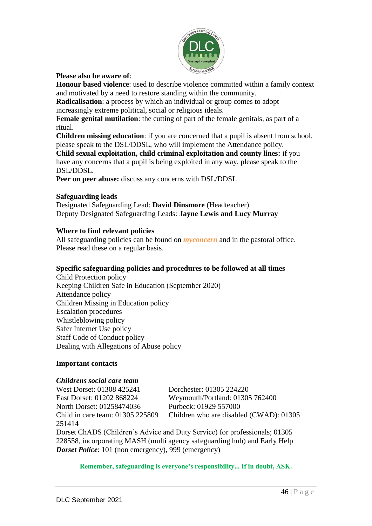

### **Please also be aware of**:

**Honour based violence**: used to describe violence committed within a family context and motivated by a need to restore standing within the community.

**Radicalisation**: a process by which an individual or group comes to adopt increasingly extreme political, social or religious ideals.

**Female genital mutilation**: the cutting of part of the female genitals, as part of a ritual.

**Children missing education**: if you are concerned that a pupil is absent from school, please speak to the DSL/DDSL, who will implement the Attendance policy.

**Child sexual exploitation, child criminal exploitation and county lines:** if you have any concerns that a pupil is being exploited in any way, please speak to the DSL/DDSL.

**Peer on peer abuse:** discuss any concerns with DSL/DDSL

### **Safeguarding leads**

Designated Safeguarding Lead: **David Dinsmore** (Headteacher) Deputy Designated Safeguarding Leads: **Jayne Lewis and Lucy Murray**

### **Where to find relevant policies**

All safeguarding policies can be found on *myconcern* and in the pastoral office. Please read these on a regular basis.

### **Specific safeguarding policies and procedures to be followed at all times**

Child Protection policy Keeping Children Safe in Education (September 2020) Attendance policy Children Missing in Education policy Escalation procedures Whistleblowing policy Safer Internet Use policy Staff Code of Conduct policy Dealing with Allegations of Abuse policy

### **Important contacts**

### *Childrens social care team*

West Dorset: 01308 425241 Dorchester: 01305 224220 North Dorset: 01258474036 Purbeck: 01929 557000 251414

East Dorset: 01202 868224 Weymouth/Portland: 01305 762400 Child in care team: 01305 225809 Children who are disabled (CWAD): 01305

Dorset ChADS (Children's Advice and Duty Service) for professionals; 01305 228558, incorporating MASH (multi agency safeguarding hub) and Early Help *Dorset Police*: 101 (non emergency), 999 (emergency)

**Remember, safeguarding is everyone's responsibility... If in doubt, ASK.**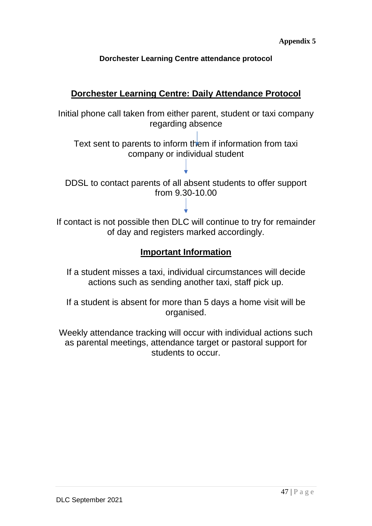## **Dorchester Learning Centre attendance protocol**

## **Dorchester Learning Centre: Daily Attendance Protocol**

Initial phone call taken from either parent, student or taxi company regarding absence

Text sent to parents to inform them if information from taxi company or individual student

DDSL to contact parents of all absent students to offer support from 9.30-10.00

If contact is not possible then DLC will continue to try for remainder of day and registers marked accordingly.

## **Important Information**

If a student misses a taxi, individual circumstances will decide actions such as sending another taxi, staff pick up.

If a student is absent for more than 5 days a home visit will be organised.

Weekly attendance tracking will occur with individual actions such as parental meetings, attendance target or pastoral support for students to occur.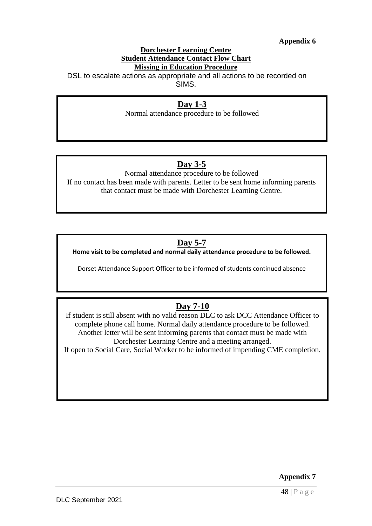### **Appendix 6**

#### **Dorchester Learning Centre Student Attendance Contact Flow Chart Missing in Education Procedure**

DSL to escalate actions as appropriate and all actions to be recorded on SIMS.

## **Day 1-3**

Normal attendance procedure to be followed

## **Day 3-5**

Normal attendance procedure to be followed If no contact has been made with parents. Letter to be sent home informing parents that contact must be made with Dorchester Learning Centre.

## **Day 5-7**

**Home visit to be completed and normal daily attendance procedure to be followed.**

Dorset Attendance Support Officer to be informed of students continued absence

## **Day 7-10**

If student is still absent with no valid reason DLC to ask DCC Attendance Officer to complete phone call home. Normal daily attendance procedure to be followed. Another letter will be sent informing parents that contact must be made with Dorchester Learning Centre and a meeting arranged. If open to Social Care, Social Worker to be informed of impending CME completion.

48 | P a g e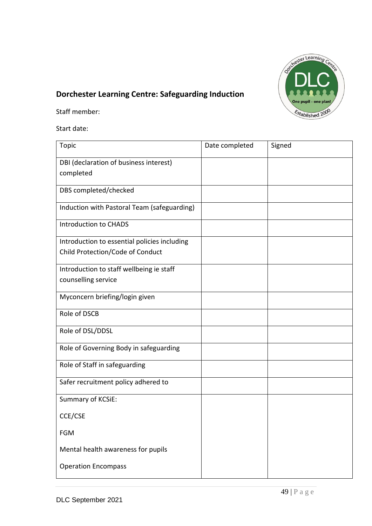

# **Dorchester Learning Centre: Safeguarding Induction**

Staff member:

Start date:

| Topic                                               | Date completed | Signed |
|-----------------------------------------------------|----------------|--------|
| DBI (declaration of business interest)<br>completed |                |        |
| DBS completed/checked                               |                |        |
| Induction with Pastoral Team (safeguarding)         |                |        |
| <b>Introduction to CHADS</b>                        |                |        |
| Introduction to essential policies including        |                |        |
| Child Protection/Code of Conduct                    |                |        |
| Introduction to staff wellbeing ie staff            |                |        |
| counselling service                                 |                |        |
| Myconcern briefing/login given                      |                |        |
| Role of DSCB                                        |                |        |
| Role of DSL/DDSL                                    |                |        |
| Role of Governing Body in safeguarding              |                |        |
| Role of Staff in safeguarding                       |                |        |
| Safer recruitment policy adhered to                 |                |        |
| Summary of KCSiE:                                   |                |        |
| CCE/CSE                                             |                |        |
| <b>FGM</b>                                          |                |        |
| Mental health awareness for pupils                  |                |        |
| <b>Operation Encompass</b>                          |                |        |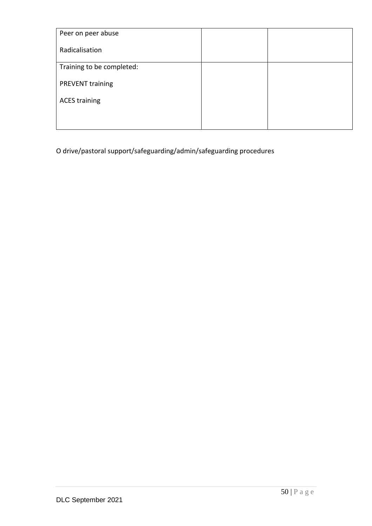| Peer on peer abuse        |  |
|---------------------------|--|
| Radicalisation            |  |
| Training to be completed: |  |
| <b>PREVENT</b> training   |  |
| <b>ACES training</b>      |  |
|                           |  |

O drive/pastoral support/safeguarding/admin/safeguarding procedures